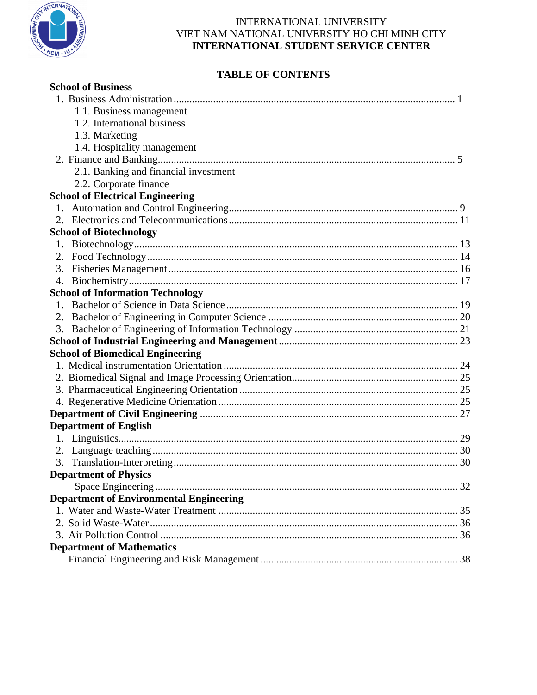

# **TABLE OF CONTENTS**

| <b>School of Business</b>                      |  |
|------------------------------------------------|--|
|                                                |  |
| 1.1. Business management                       |  |
| 1.2. International business                    |  |
| 1.3. Marketing                                 |  |
| 1.4. Hospitality management                    |  |
|                                                |  |
| 2.1. Banking and financial investment          |  |
| 2.2. Corporate finance                         |  |
| <b>School of Electrical Engineering</b>        |  |
| 1.                                             |  |
|                                                |  |
| <b>School of Biotechnology</b>                 |  |
|                                                |  |
| 2.                                             |  |
| 3.                                             |  |
| 4.                                             |  |
| <b>School of Information Technology</b>        |  |
|                                                |  |
|                                                |  |
|                                                |  |
|                                                |  |
| <b>School of Biomedical Engineering</b>        |  |
|                                                |  |
|                                                |  |
|                                                |  |
|                                                |  |
|                                                |  |
| <b>Department of English</b>                   |  |
|                                                |  |
|                                                |  |
|                                                |  |
| <b>Department of Physics</b>                   |  |
|                                                |  |
| <b>Department of Environmental Engineering</b> |  |
|                                                |  |
|                                                |  |
|                                                |  |
| <b>Department of Mathematics</b>               |  |
|                                                |  |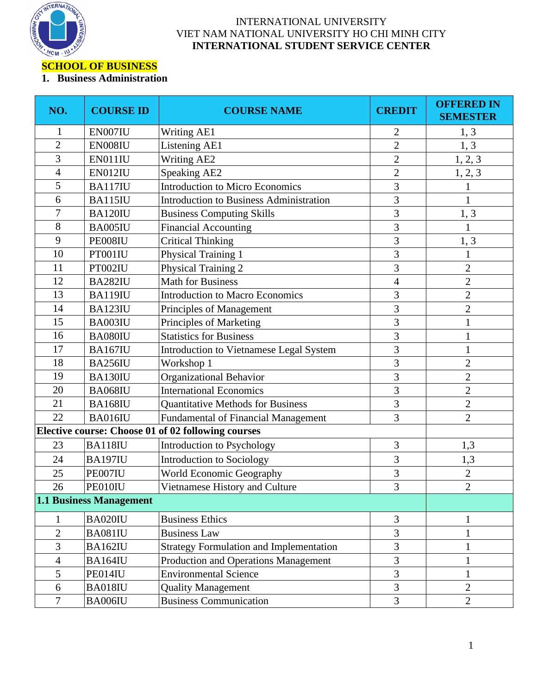

## **SCHOOL OF BUSINESS**

## **1. Business Administration**

| NO.            | <b>COURSE ID</b>        | <b>COURSE NAME</b>                                 | <b>CREDIT</b>  | <b>OFFERED IN</b><br><b>SEMESTER</b> |
|----------------|-------------------------|----------------------------------------------------|----------------|--------------------------------------|
| 1              | EN007IU                 | Writing AE1                                        | $\overline{c}$ | 1, 3                                 |
| $\overline{2}$ | EN008IU                 | Listening AE1                                      | $\overline{2}$ | 1, 3                                 |
| 3              | EN011IU                 | <b>Writing AE2</b>                                 | $\overline{c}$ | 1, 2, 3                              |
| $\overline{4}$ | EN012IU                 | <b>Speaking AE2</b>                                | $\overline{c}$ | 1, 2, 3                              |
| 5              | BA117IU                 | <b>Introduction to Micro Economics</b>             | 3              | $\mathbf{1}$                         |
| 6              | <b>BA115IU</b>          | <b>Introduction to Business Administration</b>     | 3              | $\mathbf{1}$                         |
| 7              | BA120IU                 | <b>Business Computing Skills</b>                   | 3              | 1, 3                                 |
| 8              | BA005IU                 | <b>Financial Accounting</b>                        | 3              | $\mathbf{1}$                         |
| 9              | PE008IU                 | <b>Critical Thinking</b>                           | 3              | 1, 3                                 |
| 10             | PT001IU                 | Physical Training 1                                | 3              |                                      |
| 11             | PT002IU                 | Physical Training 2                                | $\overline{3}$ | $\overline{2}$                       |
| 12             | BA282IU                 | <b>Math for Business</b>                           | 4              | $\overline{2}$                       |
| 13             | <b>BA119IU</b>          | <b>Introduction to Macro Economics</b>             | 3              | $\overline{2}$                       |
| 14             | BA123IU                 | Principles of Management                           | 3              | $\overline{2}$                       |
| 15             | BA003IU                 | Principles of Marketing                            | 3              | $\mathbf{1}$                         |
| 16             | BA080IU                 | <b>Statistics for Business</b>                     | 3              | 1                                    |
| 17             | <b>BA167IU</b>          | Introduction to Vietnamese Legal System            | 3              | $\mathbf{1}$                         |
| 18             | <b>BA256IU</b>          | Workshop 1                                         | 3              | $\overline{2}$                       |
| 19             | BA130IU                 | Organizational Behavior                            | 3              | $\overline{c}$                       |
| 20             | <b>BA068IU</b>          | <b>International Economics</b>                     | 3              | $\overline{2}$                       |
| 21             | <b>BA168IU</b>          | <b>Quantitative Methods for Business</b>           | 3              | $\overline{2}$                       |
| 22             | <b>BA016IU</b>          | Fundamental of Financial Management                | 3              | $\overline{2}$                       |
|                |                         | Elective course: Choose 01 of 02 following courses |                |                                      |
| 23             | <b>BA118IU</b>          | Introduction to Psychology                         | 3              | 1,3                                  |
| 24             | <b>BA197IU</b>          | <b>Introduction to Sociology</b>                   | 3              | 1,3                                  |
| 25             | PE007IU                 | World Economic Geography                           | 3              | $\overline{2}$                       |
| 26             | PE010IU                 | Vietnamese History and Culture                     | 3              | $\overline{2}$                       |
|                | 1.1 Business Management |                                                    |                |                                      |
| 1              | BA020IU                 | <b>Business Ethics</b>                             | 3              | 1                                    |
| $\mathbf{2}$   | <b>BA081IU</b>          | <b>Business Law</b>                                | 3              | $\mathbf{1}$                         |
| 3              | BA162IU                 | <b>Strategy Formulation and Implementation</b>     | $\mathfrak{Z}$ |                                      |
| $\overline{4}$ | BA164IU                 | Production and Operations Management               | 3              | $\mathbf{1}$                         |
| 5              | PE014IU                 | <b>Environmental Science</b>                       | 3              | 1                                    |
| 6              | BA018IU                 | <b>Quality Management</b>                          | $\mathfrak{Z}$ | $\overline{2}$                       |
| $\overline{7}$ | BA006IU                 | <b>Business Communication</b>                      | $\overline{3}$ | $\overline{2}$                       |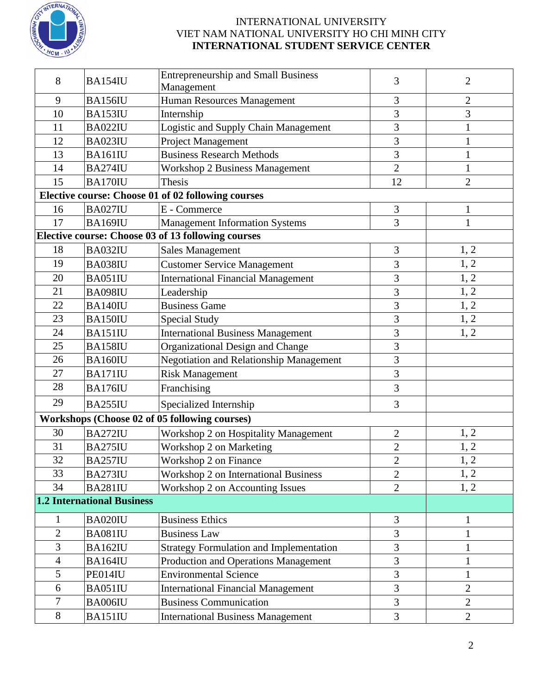

|                |                                   | <b>Entrepreneurship and Small Business</b>         | 3              | $\overline{2}$ |
|----------------|-----------------------------------|----------------------------------------------------|----------------|----------------|
| 8              | BA154IU                           | Management                                         |                |                |
| 9              | <b>BA156IU</b>                    | Human Resources Management                         | 3              | $\overline{2}$ |
| 10             | BA153IU                           | Internship                                         | 3              | 3              |
| 11             | BA022IU                           | Logistic and Supply Chain Management               | 3              |                |
| 12             | BA023IU                           | <b>Project Management</b>                          | 3              | 1              |
| 13             | <b>BA161IU</b>                    | <b>Business Research Methods</b>                   | 3              | 1              |
| 14             | <b>BA274IU</b>                    | <b>Workshop 2 Business Management</b>              | $\overline{2}$ | $\mathbf{1}$   |
| 15             | BA170IU                           | <b>Thesis</b>                                      | 12             | $\overline{2}$ |
|                |                                   | Elective course: Choose 01 of 02 following courses |                |                |
| 16             | <b>BA027IU</b>                    | E - Commerce                                       | 3              | $\mathbf{1}$   |
| 17             | <b>BA169IU</b>                    | <b>Management Information Systems</b>              | 3              | 1              |
|                |                                   | Elective course: Choose 03 of 13 following courses |                |                |
| 18             | BA032IU                           | <b>Sales Management</b>                            | 3              | 1, 2           |
| 19             | BA038IU                           | <b>Customer Service Management</b>                 | 3              | 1, 2           |
| 20             | BA051IU                           | <b>International Financial Management</b>          | 3              | 1, 2           |
| 21             | <b>BA098IU</b>                    | Leadership                                         | 3              | 1, 2           |
| 22             | <b>BA140IU</b>                    | <b>Business Game</b>                               | 3              | 1, 2           |
| 23             | BA150IU                           | <b>Special Study</b>                               | 3              | 1, 2           |
| 24             | BA151IU                           | <b>International Business Management</b>           | 3              | 1, 2           |
| 25             | <b>BA158IU</b>                    | Organizational Design and Change                   | 3              |                |
| 26             | BA160IU                           | Negotiation and Relationship Management            | 3              |                |
| 27             | <b>BA171IU</b>                    | <b>Risk Management</b>                             | 3              |                |
| 28             | <b>BA176IU</b>                    | Franchising                                        | 3              |                |
| 29             | BA255IU                           | Specialized Internship                             | 3              |                |
|                |                                   | Workshops (Choose 02 of 05 following courses)      |                |                |
| 30             | <b>BA272IU</b>                    | Workshop 2 on Hospitality Management               | $\mathbf{2}$   | 1, 2           |
| 31             | <b>BA275IU</b>                    | Workshop 2 on Marketing                            | $\overline{2}$ | 1, 2           |
| 32             | <b>BA257IU</b>                    | Workshop 2 on Finance                              | $\overline{c}$ | 1, 2           |
| 33             | BA273IU                           | Workshop 2 on International Business               | $\overline{2}$ | 1, 2           |
| 34             | <b>BA281IU</b>                    | Workshop 2 on Accounting Issues                    | $\overline{2}$ | 1, 2           |
|                | <b>1.2 International Business</b> |                                                    |                |                |
| $\mathbf{1}$   | <b>BA020IU</b>                    | <b>Business Ethics</b>                             | 3              | $\mathbf{1}$   |
| $\overline{2}$ | <b>BA081IU</b>                    | <b>Business Law</b>                                | 3              | 1              |
| 3              | BA162IU                           | <b>Strategy Formulation and Implementation</b>     | 3              | 1              |
| $\overline{4}$ | BA164IU                           | Production and Operations Management               | 3              | $\mathbf{1}$   |
| 5              | PE014IU                           | <b>Environmental Science</b>                       | 3              |                |
| 6              | BA051IU                           | <b>International Financial Management</b>          | 3              | $\overline{2}$ |
| $\tau$         | BA006IU                           | <b>Business Communication</b>                      | 3              | $\overline{2}$ |
| $8\,$          | BA151IU                           | <b>International Business Management</b>           | 3              | $\overline{2}$ |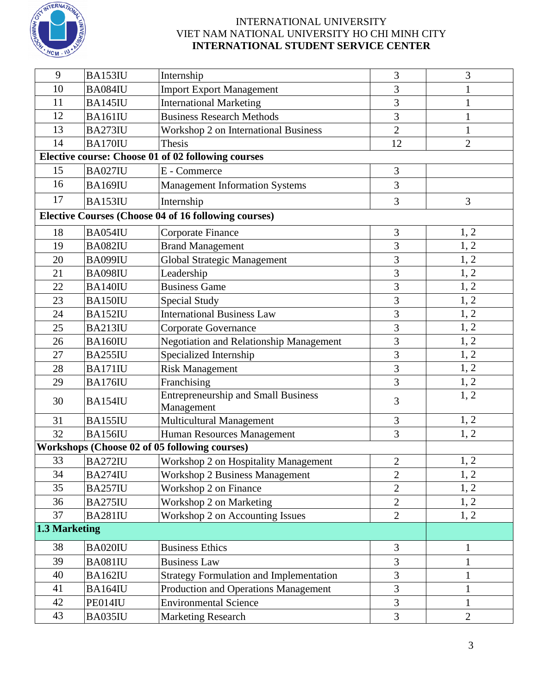

| 9             | BA153IU        | Internship                                                  | 3              | 3              |
|---------------|----------------|-------------------------------------------------------------|----------------|----------------|
| 10            | BA084IU        | <b>Import Export Management</b>                             | 3              | 1              |
| 11            | <b>BA145IU</b> | <b>International Marketing</b>                              | 3              | 1              |
| 12            | BA161IU        | <b>Business Research Methods</b>                            | 3              |                |
| 13            | BA273IU        | <b>Workshop 2 on International Business</b>                 | $\overline{2}$ | $\mathbf{1}$   |
| 14            | <b>BA170IU</b> | Thesis                                                      | 12             | $\overline{2}$ |
|               |                | Elective course: Choose 01 of 02 following courses          |                |                |
| 15            | <b>BA027IU</b> | E - Commerce                                                | 3              |                |
| 16            | <b>BA169IU</b> | <b>Management Information Systems</b>                       | 3              |                |
| 17            | BA153IU        | Internship                                                  | 3              | 3              |
|               |                | <b>Elective Courses (Choose 04 of 16 following courses)</b> |                |                |
| 18            | <b>BA054IU</b> | Corporate Finance                                           | 3              | 1, 2           |
| 19            | BA082IU        | <b>Brand Management</b>                                     | 3              | 1, 2           |
| 20            | BA099IU        | <b>Global Strategic Management</b>                          | 3              | 1, 2           |
| 21            | <b>BA098IU</b> | Leadership                                                  | 3              | 1, 2           |
| 22            | <b>BA140IU</b> | <b>Business Game</b>                                        | 3              | 1, 2           |
| 23            | BA150IU        | <b>Special Study</b>                                        | $\overline{3}$ | 1, 2           |
| 24            | BA152IU        | <b>International Business Law</b>                           | 3              | 1, 2           |
| 25            | <b>BA213IU</b> | Corporate Governance                                        | 3              | 1, 2           |
| 26            | BA160IU        | <b>Negotiation and Relationship Management</b>              | 3              | 1, 2           |
| 27            | BA255IU        | Specialized Internship                                      | 3              | 1, 2           |
| 28            | BA171IU        | <b>Risk Management</b>                                      | 3              | 1, 2           |
| 29            | <b>BA176IU</b> | Franchising                                                 | 3              | 1, 2           |
| 30            | <b>BA154IU</b> | <b>Entrepreneurship and Small Business</b><br>Management    | 3              | 1, 2           |
| 31            | BA155IU        | Multicultural Management                                    | 3              | 1, 2           |
| 32            | <b>BA156IU</b> | Human Resources Management                                  | 3              | 1, 2           |
|               |                | Workshops (Choose 02 of 05 following courses)               |                |                |
| 33            | BA272IU        | <b>Workshop 2 on Hospitality Management</b>                 | $\overline{2}$ | 1, 2           |
| 34            | <b>BA274IU</b> | <b>Workshop 2 Business Management</b>                       | $\overline{2}$ | 1, 2           |
| 35            | <b>BA257IU</b> | Workshop 2 on Finance                                       | $\mathbf{2}$   | 1, 2           |
| 36            | BA275IU        | Workshop 2 on Marketing                                     | $\overline{2}$ | 1, 2           |
| 37            | BA281IU        | Workshop 2 on Accounting Issues                             | $\overline{2}$ | 1, 2           |
| 1.3 Marketing |                |                                                             |                |                |
| 38            | BA020IU        | <b>Business Ethics</b>                                      | 3              | 1              |
| 39            | BA081IU        | <b>Business Law</b>                                         | 3              | $\mathbf{1}$   |
| 40            | BA162IU        | <b>Strategy Formulation and Implementation</b>              | 3              | 1              |
| 41            | BA164IU        | Production and Operations Management                        | 3              | $\mathbf{1}$   |
| 42            | PE014IU        | <b>Environmental Science</b>                                | 3              | $\mathbf{1}$   |
| 43            | BA035IU        | <b>Marketing Research</b>                                   | 3              | $\mathbf{2}$   |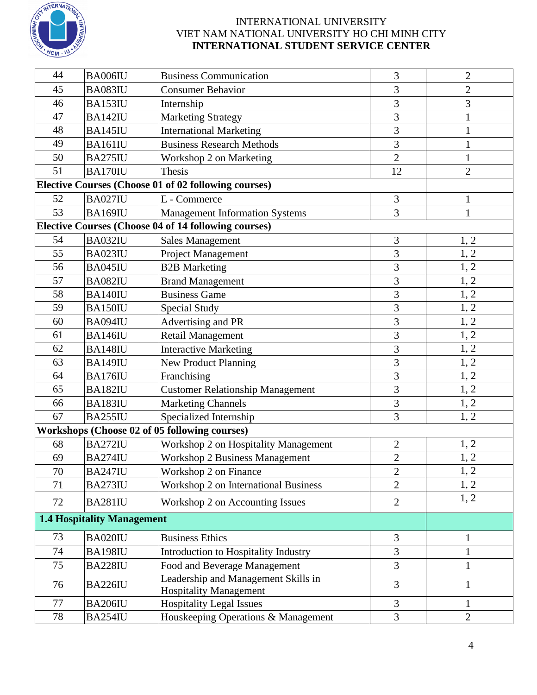

| 44                                                   | BA006IU        | <b>Business Communication</b>                                        | 3              | $\overline{2}$ |
|------------------------------------------------------|----------------|----------------------------------------------------------------------|----------------|----------------|
| 45                                                   | BA083IU        | <b>Consumer Behavior</b>                                             | 3              | $\mathbf{2}$   |
| 46                                                   | BA153IU        | Internship                                                           | 3              | 3              |
| 47                                                   | <b>BA142IU</b> | <b>Marketing Strategy</b>                                            | 3              | 1              |
| 48                                                   | <b>BA145IU</b> | <b>International Marketing</b>                                       | 3              | 1              |
| 49                                                   | <b>BA161IU</b> | <b>Business Research Methods</b>                                     | 3              | $\mathbf{1}$   |
| 50                                                   | BA275IU        | Workshop 2 on Marketing                                              | $\overline{2}$ | $\mathbf{1}$   |
| 51                                                   | <b>BA170IU</b> | Thesis                                                               | 12             | $\overline{2}$ |
| Elective Courses (Choose 01 of 02 following courses) |                |                                                                      |                |                |
| 52                                                   | <b>BA027IU</b> | E - Commerce                                                         | 3              | $\mathbf{1}$   |
| 53                                                   | <b>BA169IU</b> | <b>Management Information Systems</b>                                | 3              | $\mathbf{1}$   |
|                                                      |                | <b>Elective Courses (Choose 04 of 14 following courses)</b>          |                |                |
| 54                                                   | BA032IU        | <b>Sales Management</b>                                              | 3              | 1, 2           |
| 55                                                   | BA023IU        | Project Management                                                   | 3              | 1, 2           |
| 56                                                   | BA045IU        | <b>B2B</b> Marketing                                                 | 3              | 1, 2           |
| 57                                                   | BA082IU        | <b>Brand Management</b>                                              | 3              | 1, 2           |
| 58                                                   | <b>BA140IU</b> | <b>Business Game</b>                                                 | 3              | 1, 2           |
| 59                                                   | BA150IU        | <b>Special Study</b>                                                 | 3              | 1, 2           |
| 60                                                   | BA094IU        | Advertising and PR                                                   | 3              | 1, 2           |
| 61                                                   | <b>BA146IU</b> | Retail Management                                                    | 3              | 1, 2           |
| 62                                                   | <b>BA148IU</b> | <b>Interactive Marketing</b>                                         | 3              | 1, 2           |
| 63                                                   | <b>BA149IU</b> | <b>New Product Planning</b>                                          | 3              | 1, 2           |
| 64                                                   | <b>BA176IU</b> | Franchising                                                          | 3              | 1, 2           |
| 65                                                   | BA182IU        | <b>Customer Relationship Management</b>                              | 3              | 1, 2           |
| 66                                                   | BA183IU        | <b>Marketing Channels</b>                                            | 3              | 1, 2           |
| 67                                                   | BA255IU        | Specialized Internship                                               | 3              | 1, 2           |
|                                                      |                | Workshops (Choose 02 of 05 following courses)                        |                |                |
| 68                                                   | BA272IU        | Workshop 2 on Hospitality Management                                 | $\overline{c}$ | 1, 2           |
| 69                                                   | BA274IU        | <b>Workshop 2 Business Management</b>                                | $\overline{c}$ | 1, 2           |
| 70                                                   | <b>BA247IU</b> | Workshop 2 on Finance                                                | $\overline{2}$ | 1, 2           |
| 71                                                   | <b>BA273IU</b> | Workshop 2 on International Business                                 | $\overline{2}$ | 1, 2           |
| 72                                                   | <b>BA281IU</b> | Workshop 2 on Accounting Issues                                      | $\overline{2}$ | 1, 2           |
| <b>1.4 Hospitality Management</b>                    |                |                                                                      |                |                |
| 73                                                   | BA020IU        | <b>Business Ethics</b>                                               | 3              | 1              |
| 74                                                   | <b>BA198IU</b> | Introduction to Hospitality Industry                                 | 3              | $\mathbf{1}$   |
| 75                                                   | <b>BA228IU</b> | Food and Beverage Management                                         | 3              | 1              |
| 76                                                   | <b>BA226IU</b> | Leadership and Management Skills in<br><b>Hospitality Management</b> | 3              | $\mathbf{1}$   |
| 77                                                   | <b>BA206IU</b> | <b>Hospitality Legal Issues</b>                                      | 3              | $\mathbf{1}$   |
| 78                                                   | <b>BA254IU</b> | Houskeeping Operations & Management                                  | 3              | $\overline{2}$ |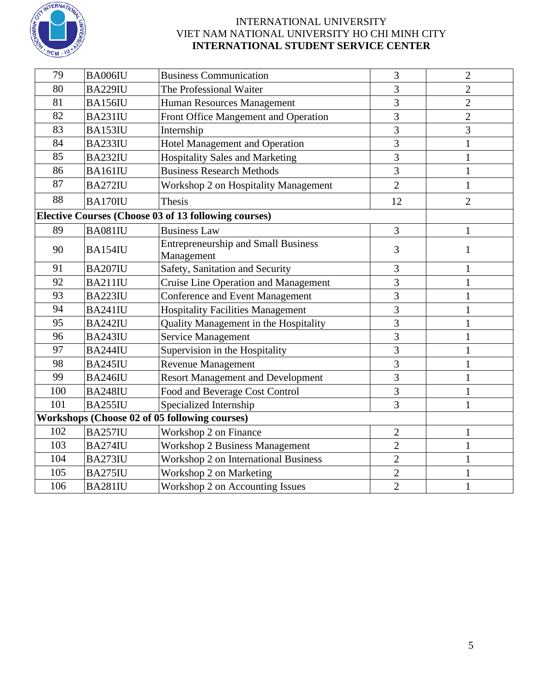

| 79  | BA006IU        | <b>Business Communication</b>                            | 3              | $\overline{2}$ |
|-----|----------------|----------------------------------------------------------|----------------|----------------|
| 80  | <b>BA229IU</b> | The Professional Waiter                                  | 3              | $\overline{2}$ |
| 81  | <b>BA156IU</b> | Human Resources Management                               | 3              | $\overline{2}$ |
| 82  | <b>BA231IU</b> | Front Office Mangement and Operation                     | $\overline{3}$ | $\overline{2}$ |
| 83  | BA153IU        | Internship                                               | 3              | 3              |
| 84  | BA233IU        | Hotel Management and Operation                           | $\overline{3}$ | 1              |
| 85  | BA232IU        | <b>Hospitality Sales and Marketing</b>                   | 3              | $\mathbf{1}$   |
| 86  | BA161IU        | <b>Business Research Methods</b>                         | 3              | 1              |
| 87  | <b>BA272IU</b> | Workshop 2 on Hospitality Management                     | $\overline{2}$ | $\mathbf{1}$   |
| 88  | BA170IU        | <b>Thesis</b>                                            | 12             | $\overline{2}$ |
|     |                | Elective Courses (Choose 03 of 13 following courses)     |                |                |
| 89  | BA081IU        | <b>Business Law</b>                                      | 3              | $\mathbf{1}$   |
| 90  | <b>BA154IU</b> | <b>Entrepreneurship and Small Business</b><br>Management | 3              | 1              |
| 91  | <b>BA207IU</b> | Safety, Sanitation and Security                          | 3              | 1              |
| 92  | BA211IU        | <b>Cruise Line Operation and Management</b>              | 3              | 1              |
| 93  | <b>BA223IU</b> | <b>Conference and Event Management</b>                   | 3              | 1              |
| 94  | <b>BA241IU</b> | <b>Hospitality Facilities Management</b>                 | 3              | 1              |
| 95  | <b>BA242IU</b> | Quality Management in the Hospitality                    | 3              | 1              |
| 96  | <b>BA243IU</b> | <b>Service Management</b>                                | 3              | 1              |
| 97  | <b>BA244IU</b> | Supervision in the Hospitality                           | 3              | 1              |
| 98  | <b>BA245IU</b> | <b>Revenue Management</b>                                | 3              | $\mathbf{1}$   |
| 99  | <b>BA246IU</b> | <b>Resort Management and Development</b>                 | $\overline{3}$ | 1              |
| 100 | <b>BA248IU</b> | Food and Beverage Cost Control                           | 3              |                |
| 101 | <b>BA255IU</b> | Specialized Internship                                   | 3              |                |
|     |                | Workshops (Choose 02 of 05 following courses)            |                |                |
| 102 | BA257IU        | Workshop 2 on Finance                                    | $\sqrt{2}$     | $\mathbf{1}$   |
| 103 | <b>BA274IU</b> | <b>Workshop 2 Business Management</b>                    | $\overline{2}$ | 1              |
| 104 | BA273IU        | <b>Workshop 2 on International Business</b>              | $\overline{2}$ | 1              |
| 105 | BA275IU        | Workshop 2 on Marketing                                  | $\overline{c}$ | 1              |
| 106 | <b>BA281IU</b> | Workshop 2 on Accounting Issues                          | $\overline{2}$ | $\mathbf{1}$   |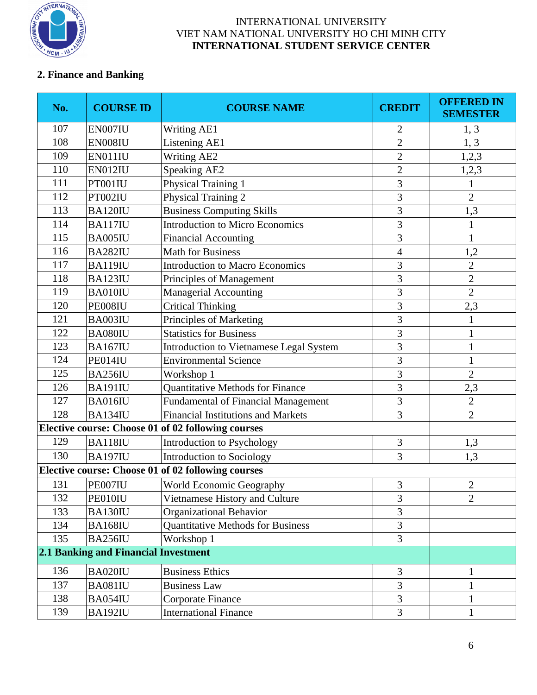

# **2. Finance and Banking**

| No. | <b>COURSE ID</b>                     | <b>COURSE NAME</b>                                 | <b>CREDIT</b>               | <b>OFFERED IN</b><br><b>SEMESTER</b> |
|-----|--------------------------------------|----------------------------------------------------|-----------------------------|--------------------------------------|
| 107 | EN007IU                              | Writing AE1                                        | $\overline{c}$              | 1, 3                                 |
| 108 | EN008IU                              | Listening AE1                                      | $\overline{2}$              | 1, 3                                 |
| 109 | EN011IU                              | <b>Writing AE2</b>                                 | $\overline{2}$              | 1,2,3                                |
| 110 | EN012IU                              | <b>Speaking AE2</b>                                | $\overline{c}$              | 1,2,3                                |
| 111 | PT001IU                              | Physical Training 1                                | 3                           |                                      |
| 112 | PT002IU                              | Physical Training 2                                | 3                           | $\overline{2}$                       |
| 113 | <b>BA120IU</b>                       | <b>Business Computing Skills</b>                   | 3                           | 1,3                                  |
| 114 | <b>BA117IU</b>                       | <b>Introduction to Micro Economics</b>             | $\overline{3}$              |                                      |
| 115 | BA005IU                              | <b>Financial Accounting</b>                        | 3                           | $\mathbf{1}$                         |
| 116 | BA282IU                              | <b>Math for Business</b>                           | $\overline{4}$              | 1,2                                  |
| 117 | <b>BA119IU</b>                       | <b>Introduction to Macro Economics</b>             | 3                           | $\overline{2}$                       |
| 118 | BA123IU                              | Principles of Management                           | 3                           | $\mathbf{2}$                         |
| 119 | BA010IU                              | <b>Managerial Accounting</b>                       | 3                           | $\overline{2}$                       |
| 120 | PE008IU                              | <b>Critical Thinking</b>                           | 3                           | 2,3                                  |
| 121 | BA003IU                              | Principles of Marketing                            | 3                           |                                      |
| 122 | BA080IU                              | <b>Statistics for Business</b>                     | 3                           |                                      |
| 123 | <b>BA167IU</b>                       | Introduction to Vietnamese Legal System            | 3                           | $\mathbf{1}$                         |
| 124 | PE014IU                              | <b>Environmental Science</b>                       | 3                           | $\mathbf{1}$                         |
| 125 | BA256IU                              | Workshop 1                                         | 3                           | $\overline{2}$                       |
| 126 | <b>BA191IU</b>                       | Quantitative Methods for Finance                   | 3                           | 2,3                                  |
| 127 | BA016IU                              | <b>Fundamental of Financial Management</b>         | 3                           | $\overline{2}$                       |
| 128 | BA134IU                              | <b>Financial Institutions and Markets</b>          | 3                           | $\overline{2}$                       |
|     |                                      | Elective course: Choose 01 of 02 following courses |                             |                                      |
| 129 | BA118IU                              | Introduction to Psychology                         | 3                           | 1,3                                  |
| 130 | <b>BA197IU</b>                       | Introduction to Sociology                          | 3                           | 1,3                                  |
|     |                                      | Elective course: Choose 01 of 02 following courses |                             |                                      |
| 131 | PE007IU                              | <b>World Economic Geography</b>                    | $\ensuremath{\mathfrak{Z}}$ | $\sqrt{2}$                           |
| 132 | PE010IU                              | Vietnamese History and Culture                     | 3                           | $\overline{2}$                       |
| 133 | BA130IU                              | <b>Organizational Behavior</b>                     | 3                           |                                      |
| 134 | <b>BA168IU</b>                       | <b>Quantitative Methods for Business</b>           | $\overline{3}$              |                                      |
| 135 | <b>BA256IU</b>                       | Workshop 1                                         | $\overline{3}$              |                                      |
|     | 2.1 Banking and Financial Investment |                                                    |                             |                                      |
| 136 | BA020IU                              | <b>Business Ethics</b>                             | 3                           | $\mathbf{1}$                         |
| 137 | BA081IU                              | <b>Business Law</b>                                | 3                           | $\mathbf{1}$                         |
| 138 | BA054IU                              | Corporate Finance                                  | 3                           |                                      |
| 139 | <b>BA192IU</b>                       | <b>International Finance</b>                       | $\overline{3}$              | $\mathbf{1}$                         |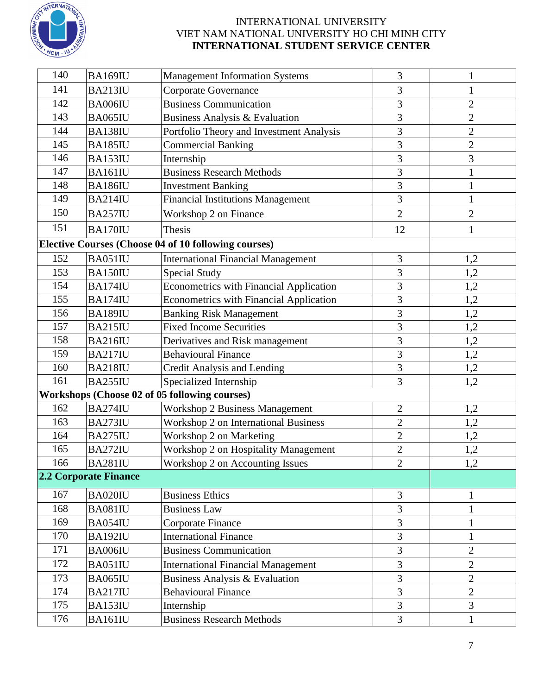

| 140 | <b>BA169IU</b>        | <b>Management Information Systems</b>                       | 3              |                |
|-----|-----------------------|-------------------------------------------------------------|----------------|----------------|
| 141 | <b>BA213IU</b>        | Corporate Governance                                        | 3              | $\mathbf{1}$   |
| 142 | BA006IU               | <b>Business Communication</b>                               | 3              | $\overline{2}$ |
| 143 | <b>BA065IU</b>        | Business Analysis & Evaluation                              | 3              | $\overline{2}$ |
| 144 | <b>BA138IU</b>        | Portfolio Theory and Investment Analysis                    | 3              | $\overline{c}$ |
| 145 | <b>BA185IU</b>        | <b>Commercial Banking</b>                                   | 3              | $\overline{2}$ |
| 146 | BA153IU               | Internship                                                  | 3              | 3              |
| 147 | BA161IU               | <b>Business Research Methods</b>                            | 3              | $\mathbf{1}$   |
| 148 | <b>BA186IU</b>        | <b>Investment Banking</b>                                   | 3              | $\mathbf{1}$   |
| 149 | <b>BA214IU</b>        | <b>Financial Institutions Management</b>                    | 3              | $\mathbf{1}$   |
| 150 | <b>BA257IU</b>        | Workshop 2 on Finance                                       | $\overline{2}$ | $\overline{2}$ |
| 151 | BA170IU               | <b>Thesis</b>                                               | 12             | 1              |
|     |                       | <b>Elective Courses (Choose 04 of 10 following courses)</b> |                |                |
| 152 | <b>BA051IU</b>        | <b>International Financial Management</b>                   | 3              | <u>1,2</u>     |
| 153 | BA150IU               | <b>Special Study</b>                                        | 3              | 1,2            |
| 154 | <b>BA174IU</b>        | <b>Econometrics with Financial Application</b>              | 3              | 1,2            |
| 155 | <b>BA174IU</b>        | <b>Econometrics with Financial Application</b>              | 3              | 1,2            |
| 156 | <b>BA189IU</b>        | <b>Banking Risk Management</b>                              | 3              | 1,2            |
| 157 | <b>BA215IU</b>        | <b>Fixed Income Securities</b>                              | 3              | 1,2            |
| 158 | <b>BA216IU</b>        | Derivatives and Risk management                             | 3              | 1,2            |
| 159 | <b>BA217IU</b>        | <b>Behavioural Finance</b>                                  | $\overline{3}$ | 1,2            |
| 160 | <b>BA218IU</b>        | Credit Analysis and Lending                                 | 3              | 1,2            |
| 161 | <b>BA255IU</b>        | Specialized Internship                                      | 3              | 1,2            |
|     |                       | Workshops (Choose 02 of 05 following courses)               |                |                |
| 162 | BA274IU               | <b>Workshop 2 Business Management</b>                       | $\overline{2}$ | 1,2            |
| 163 | <b>BA273IU</b>        | Workshop 2 on International Business                        | $\overline{2}$ | 1,2            |
| 164 | BA275IU               | Workshop 2 on Marketing                                     | $\overline{2}$ | 1,2            |
| 165 | BA272IU               | Workshop 2 on Hospitality Management                        | $\overline{2}$ | 1,2            |
| 166 | BA281IU               | Workshop 2 on Accounting Issues                             | $\overline{c}$ | 1,2            |
|     | 2.2 Corporate Finance |                                                             |                |                |
| 167 | BA020IU               | <b>Business Ethics</b>                                      | 3              | $\mathbf{1}$   |
| 168 | BA081IU               | <b>Business Law</b>                                         | 3              | $\mathbf{1}$   |
| 169 | BA054IU               | Corporate Finance                                           | 3              |                |
| 170 | BA192IU               | <b>International Finance</b>                                | 3              | $\mathbf{1}$   |
| 171 | BA006IU               | <b>Business Communication</b>                               | 3              | $\overline{2}$ |
| 172 | BA051IU               | <b>International Financial Management</b>                   | 3              | $\overline{2}$ |
| 173 | BA065IU               | Business Analysis & Evaluation                              | 3              | $\overline{2}$ |
| 174 | <b>BA217IU</b>        | <b>Behavioural Finance</b>                                  | 3              | $\overline{2}$ |
| 175 | BA153IU               | Internship                                                  | 3              | 3              |
| 176 | BA161IU               | <b>Business Research Methods</b>                            | $\overline{3}$ | $\mathbf{1}$   |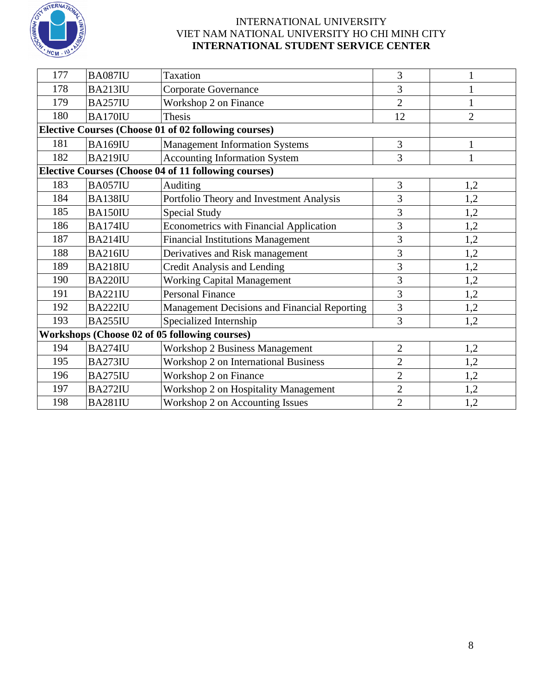

| 177 | <b>BA087IU</b> | <b>Taxation</b>                                             | 3              |                |
|-----|----------------|-------------------------------------------------------------|----------------|----------------|
| 178 | <b>BA213IU</b> | <b>Corporate Governance</b>                                 | 3              |                |
| 179 | <b>BA257IU</b> | Workshop 2 on Finance                                       | $\overline{2}$ | $\mathbf{1}$   |
| 180 | BA170IU        | Thesis                                                      | 12             | $\overline{2}$ |
|     |                | Elective Courses (Choose 01 of 02 following courses)        |                |                |
| 181 | <b>BA169IU</b> | <b>Management Information Systems</b>                       | 3              | 1              |
| 182 | <b>BA219IU</b> | <b>Accounting Information System</b>                        | 3              | $\mathbf{1}$   |
|     |                | <b>Elective Courses (Choose 04 of 11 following courses)</b> |                |                |
| 183 | <b>BA057IU</b> | Auditing                                                    | 3              | 1,2            |
| 184 | BA138IU        | Portfolio Theory and Investment Analysis                    | 3              | 1,2            |
| 185 | BA150IU        | Special Study                                               | 3              | 1,2            |
| 186 | <b>BA174IU</b> | <b>Econometrics with Financial Application</b>              | 3              | 1,2            |
| 187 | <b>BA214IU</b> | <b>Financial Institutions Management</b>                    | 3              | 1,2            |
| 188 | <b>BA216IU</b> | Derivatives and Risk management                             | 3              | 1,2            |
| 189 | <b>BA218IU</b> | Credit Analysis and Lending                                 | 3              | 1,2            |
| 190 | <b>BA220IU</b> | <b>Working Capital Management</b>                           | 3              | 1,2            |
| 191 | <b>BA221IU</b> | <b>Personal Finance</b>                                     | 3              | 1,2            |
| 192 | <b>BA222IU</b> | Management Decisions and Financial Reporting                | 3              | 1,2            |
| 193 | <b>BA255IU</b> | Specialized Internship                                      | 3              | 1,2            |
|     |                | Workshops (Choose 02 of 05 following courses)               |                |                |
| 194 | <b>BA274IU</b> | <b>Workshop 2 Business Management</b>                       | $\overline{2}$ | 1,2            |
| 195 | <b>BA273IU</b> | Workshop 2 on International Business                        | $\overline{2}$ | 1,2            |
| 196 | <b>BA275IU</b> | Workshop 2 on Finance                                       | $\overline{2}$ | 1,2            |
| 197 | <b>BA272IU</b> | Workshop 2 on Hospitality Management                        | $\overline{2}$ | 1,2            |
| 198 | <b>BA281IU</b> | Workshop 2 on Accounting Issues                             | $\overline{2}$ | 1,2            |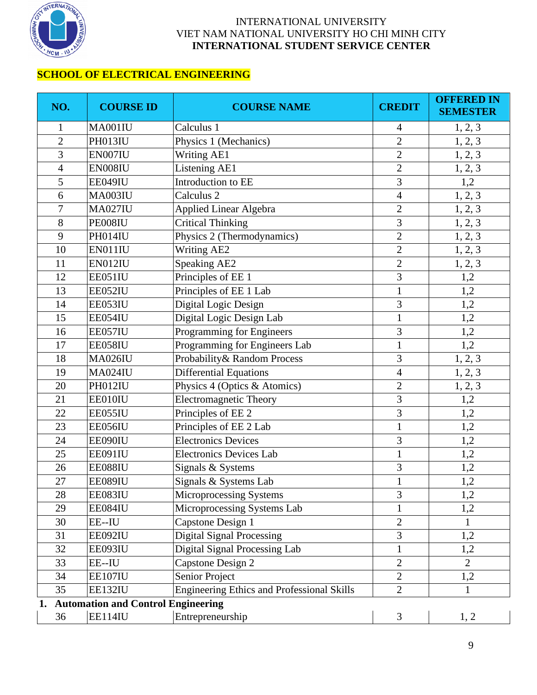

# **SCHOOL OF ELECTRICAL ENGINEERING**

| NO.            | <b>COURSE ID</b>                          | <b>COURSE NAME</b>                                | <b>CREDIT</b>  | <b>OFFERED IN</b><br><b>SEMESTER</b> |
|----------------|-------------------------------------------|---------------------------------------------------|----------------|--------------------------------------|
| $\mathbf{1}$   | MA001IU                                   | Calculus 1                                        | $\overline{4}$ | 1, 2, 3                              |
| $\overline{2}$ | PH013IU                                   | Physics 1 (Mechanics)                             | $\overline{2}$ | 1, 2, 3                              |
| 3              | EN007IU                                   | <b>Writing AE1</b>                                | $\overline{2}$ | 1, 2, 3                              |
| $\overline{4}$ | EN008IU                                   | Listening AE1                                     | $\overline{2}$ | 1, 2, 3                              |
| 5              | EE049IU                                   | Introduction to EE                                | $\overline{3}$ | 1,2                                  |
| 6              | MA003IU                                   | Calculus <sub>2</sub>                             | $\overline{4}$ | 1, 2, 3                              |
| $\overline{7}$ | <b>MA027IU</b>                            | Applied Linear Algebra                            | $\overline{2}$ | 1, 2, 3                              |
| 8              | PE008IU                                   | <b>Critical Thinking</b>                          | 3              | 1, 2, 3                              |
| 9              | PH014IU                                   | Physics 2 (Thermodynamics)                        | $\overline{2}$ | 1, 2, 3                              |
| 10             | EN011IU                                   | Writing AE2                                       | $\overline{2}$ | 1, 2, 3                              |
| 11             | EN012IU                                   | Speaking AE2                                      | $\overline{2}$ | 1, 2, 3                              |
| 12             | EE051IU                                   | Principles of EE 1                                | 3              | 1,2                                  |
| 13             | EE052IU                                   | Principles of EE 1 Lab                            | $\mathbf{1}$   | 1,2                                  |
| 14             | EE053IU                                   | Digital Logic Design                              | 3              | 1,2                                  |
| 15             | EE054IU                                   | Digital Logic Design Lab                          | $\mathbf{1}$   | 1,2                                  |
| 16             | EE057IU                                   | Programming for Engineers                         | 3              | 1,2                                  |
| 17             | EE058IU                                   | Programming for Engineers Lab                     | $\mathbf{1}$   | 1,2                                  |
| 18             | <b>MA026IU</b>                            | Probability& Random Process                       | 3              | 1, 2, 3                              |
| 19             | <b>MA024IU</b>                            | Differential Equations                            | $\overline{4}$ | 1, 2, 3                              |
| 20             | PH012IU                                   | Physics 4 (Optics & Atomics)                      | $\overline{2}$ | 1, 2, 3                              |
| 21             | EE010IU                                   | <b>Electromagnetic Theory</b>                     | 3              | 1,2                                  |
| 22             | EE055IU                                   | Principles of EE <sub>2</sub>                     | $\overline{3}$ | 1,2                                  |
| 23             | EE056IU                                   | Principles of EE 2 Lab                            | $\mathbf{1}$   | 1,2                                  |
| 24             | EE090IU                                   | <b>Electronics Devices</b>                        | 3              | 1,2                                  |
| 25             | EE091IU                                   | <b>Electronics Devices Lab</b>                    | $\mathbf{1}$   | 1,2                                  |
| 26             | EE088IU                                   | Signals & Systems                                 | 3              | 1,2                                  |
| 27             | EE089IU                                   | Signals & Systems Lab                             |                | 1,2                                  |
| 28             | EE083IU                                   | Microprocessing Systems                           | 3              | 1,2                                  |
| 29             | EE084IU                                   | Microprocessing Systems Lab                       | $\mathbf{1}$   | 1,2                                  |
| 30             | EE--IU                                    | Capstone Design 1                                 | $\overline{2}$ | 1                                    |
| 31             | EE092IU                                   | <b>Digital Signal Processing</b>                  | 3              | 1,2                                  |
| 32             | EE093IU                                   | Digital Signal Processing Lab                     | $\mathbf{1}$   | 1,2                                  |
| 33             | EE--IU                                    | Capstone Design 2                                 | $\overline{2}$ | $\overline{2}$                       |
| 34             | EE107IU                                   | Senior Project                                    | $\overline{2}$ | 1,2                                  |
| 35             | <b>EE132IU</b>                            | <b>Engineering Ethics and Professional Skills</b> | $\overline{2}$ | $\mathbf{1}$                         |
| 1.             | <b>Automation and Control Engineering</b> |                                                   |                |                                      |
| 36             | EE114IU                                   | Entrepreneurship                                  | 3              | 1, 2                                 |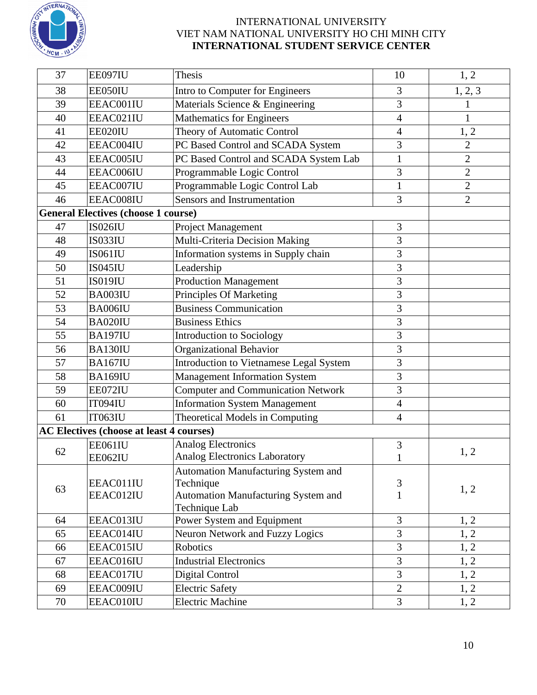

| 37       | EE097IU                                         | Thesis                                      | 10             | 1, 2           |
|----------|-------------------------------------------------|---------------------------------------------|----------------|----------------|
| 38       | EE050IU                                         | Intro to Computer for Engineers             | 3              | 1, 2, 3        |
| 39       | EEAC001IU                                       | Materials Science & Engineering             | 3              |                |
| 40       | EEAC021IU                                       | <b>Mathematics for Engineers</b>            | $\overline{4}$ | $\mathbf{1}$   |
| 41       | EE020IU                                         | Theory of Automatic Control                 | $\overline{4}$ | 1, 2           |
| 42       | EEAC004IU                                       | PC Based Control and SCADA System           | 3              | $\overline{2}$ |
| 43       | EEAC005IU                                       | PC Based Control and SCADA System Lab       | 1              | $\overline{c}$ |
| 44       | EEAC006IU                                       | Programmable Logic Control                  | 3              | $\overline{2}$ |
| 45       | EEAC007IU                                       | Programmable Logic Control Lab              | $\mathbf{1}$   | $\mathbf{2}$   |
| 46       | EEAC008IU                                       | Sensors and Instrumentation                 | 3              | $\overline{2}$ |
|          | <b>General Electives (choose 1 course)</b>      |                                             |                |                |
| 47       | <b>IS026IU</b>                                  | Project Management                          | $\mathfrak{Z}$ |                |
| 48       | IS033IU                                         | Multi-Criteria Decision Making              | 3              |                |
| 49       | <b>IS061IU</b>                                  | Information systems in Supply chain         | 3              |                |
| 50       | <b>IS045IU</b>                                  | Leadership                                  | 3              |                |
| 51       | <b>IS019IU</b>                                  | <b>Production Management</b>                | 3              |                |
| 52       | BA003IU                                         | Principles Of Marketing                     | 3              |                |
| 53       | BA006IU                                         | <b>Business Communication</b>               | 3              |                |
| 54       | BA020IU                                         | <b>Business Ethics</b>                      | 3              |                |
| 55       | <b>BA197IU</b>                                  | <b>Introduction to Sociology</b>            | 3              |                |
| 56       | BA130IU                                         | Organizational Behavior                     | 3              |                |
| 57       | <b>BA167IU</b>                                  | Introduction to Vietnamese Legal System     | 3              |                |
| 58       | BA169IU                                         | <b>Management Information System</b>        | 3              |                |
| 59       | EE072IU                                         | <b>Computer and Communication Network</b>   | 3              |                |
| 60       | <b>IT094IU</b>                                  | <b>Information System Management</b>        | $\overline{4}$ |                |
| 61       | <b>IT063IU</b>                                  | Theoretical Models in Computing             | $\overline{4}$ |                |
|          | <b>AC Electives (choose at least 4 courses)</b> |                                             |                |                |
| 62       | EE061IU                                         | <b>Analog Electronics</b>                   | 3              | 1, 2           |
|          | EE062IU                                         | <b>Analog Electronics Laboratory</b>        |                |                |
|          |                                                 | Automation Manufacturing System and         |                |                |
| 63       | EEAC011IU                                       | Technique                                   | 3              | 1, 2           |
|          | EEAC012IU                                       | Automation Manufacturing System and         | 1              |                |
| 64       | EEAC013IU                                       | Technique Lab<br>Power System and Equipment | 3              |                |
| 65       | EEAC014IU                                       | Neuron Network and Fuzzy Logics             | 3              | 1, 2           |
|          |                                                 | Robotics                                    | 3              | 1, 2           |
| 66<br>67 | EEAC015IU<br>EEAC016IU                          | <b>Industrial Electronics</b>               | 3              | 1, 2<br>1, 2   |
| 68       | EEAC017IU                                       | Digital Control                             | $\overline{3}$ | 1, 2           |
| 69       | EEAC009IU                                       | <b>Electric Safety</b>                      | $\overline{c}$ | 1, 2           |
| 70       | EEAC010IU                                       | <b>Electric Machine</b>                     | $\overline{3}$ |                |
|          |                                                 |                                             |                | 1, 2           |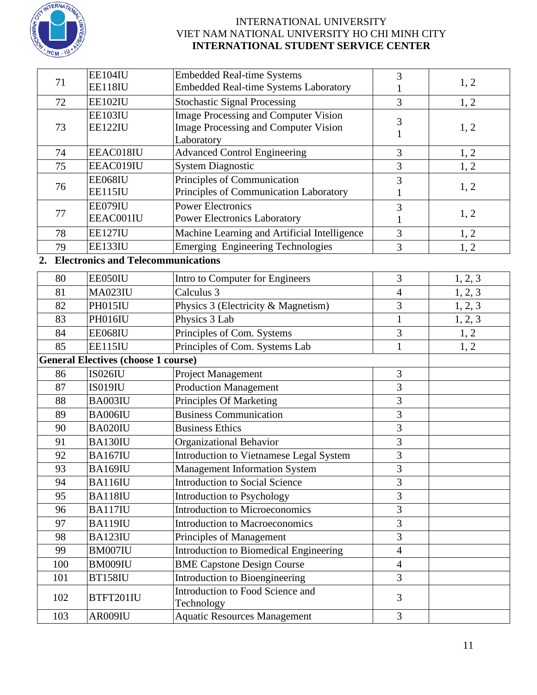

| 71  | <b>EE104IU</b>                             | <b>Embedded Real-time Systems</b>                                     | 3              | 1, 2    |
|-----|--------------------------------------------|-----------------------------------------------------------------------|----------------|---------|
|     | EE118IU                                    | Embedded Real-time Systems Laboratory                                 | 1              |         |
| 72  | <b>EE102IU</b>                             | <b>Stochastic Signal Processing</b>                                   | $\overline{3}$ | 1, 2    |
|     | EE103IU                                    | <b>Image Processing and Computer Vision</b>                           | 3              |         |
| 73  | <b>EE122IU</b>                             | Image Processing and Computer Vision                                  | 1              | 1, 2    |
|     |                                            | Laboratory                                                            |                |         |
| 74  | EEAC018IU                                  | <b>Advanced Control Engineering</b>                                   | 3              | 1, 2    |
| 75  | EEAC019IU                                  | System Diagnostic                                                     | 3              | 1, 2    |
| 76  | EE068IU<br>EE115IU                         | Principles of Communication<br>Principles of Communication Laboratory | 3              | 1, 2    |
|     | EE079IU                                    | <b>Power Electronics</b>                                              |                |         |
| 77  | EEAC001IU                                  | <b>Power Electronics Laboratory</b>                                   | 3              | 1, 2    |
| 78  | <b>EE127IU</b>                             | Machine Learning and Artificial Intelligence                          | 1<br>3         | 1, 2    |
| 79  | EE133IU                                    | <b>Emerging Engineering Technologies</b>                              | 3              |         |
| 2.  | <b>Electronics and Telecommunications</b>  |                                                                       |                | 1, 2    |
|     |                                            |                                                                       |                |         |
| 80  | EE050IU                                    | Intro to Computer for Engineers                                       | 3              | 1, 2, 3 |
| 81  | <b>MA023IU</b>                             | Calculus 3                                                            | $\overline{4}$ | 1, 2, 3 |
| 82  | PH015IU                                    | Physics 3 (Electricity & Magnetism)                                   | 3              | 1, 2, 3 |
| 83  | PH016IU                                    | Physics 3 Lab                                                         | $\mathbf{1}$   | 1, 2, 3 |
| 84  | EE068IU                                    | Principles of Com. Systems                                            | 3              | 1, 2    |
| 85  | EE115IU                                    | Principles of Com. Systems Lab                                        | $\mathbf{1}$   | 1, 2    |
|     | <b>General Electives (choose 1 course)</b> |                                                                       |                |         |
| 86  | <b>IS026IU</b>                             | Project Management                                                    | 3              |         |
| 87  | <b>IS019IU</b>                             | <b>Production Management</b>                                          | 3              |         |
| 88  | BA003IU                                    | Principles Of Marketing                                               | 3              |         |
| 89  | BA006IU                                    | <b>Business Communication</b>                                         | $\overline{3}$ |         |
| 90  | BA020IU                                    | <b>Business Ethics</b>                                                | 3              |         |
| 91  | BA130IU                                    | Organizational Behavior                                               | 3              |         |
| 92  | <b>BA167IU</b>                             | <b>Introduction to Vietnamese Legal System</b>                        | $\overline{3}$ |         |
| 93  | BA169IU                                    | <b>Management Information System</b>                                  | 3              |         |
| 94  | <b>BA116IU</b>                             | <b>Introduction to Social Science</b>                                 | 3              |         |
| 95  | <b>BA118IU</b>                             | <b>Introduction to Psychology</b>                                     | $\overline{3}$ |         |
| 96  | <b>BA117IU</b>                             | <b>Introduction to Microeconomics</b>                                 | 3              |         |
| 97  | <b>BA119IU</b>                             | <b>Introduction to Macroeconomics</b>                                 | $\mathfrak{Z}$ |         |
| 98  | <b>BA123IU</b>                             | Principles of Management                                              | 3              |         |
| 99  | BM007IU                                    | Introduction to Biomedical Engineering                                | $\overline{4}$ |         |
| 100 | BM009IU                                    | <b>BME Capstone Design Course</b>                                     | $\overline{4}$ |         |
| 101 | <b>BT158IU</b>                             | Introduction to Bioengineering                                        | $\overline{3}$ |         |
| 102 | BTFT201IU                                  | Introduction to Food Science and<br>Technology                        | 3              |         |
| 103 | AR009IU                                    | <b>Aquatic Resources Management</b>                                   | 3              |         |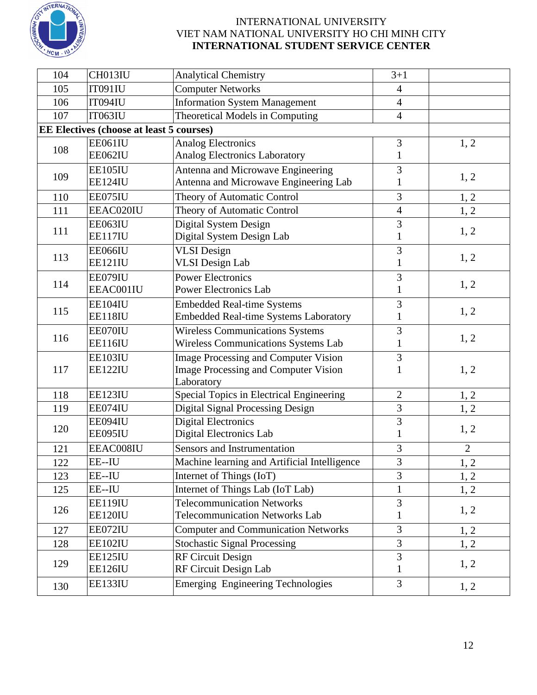

| 104 | CH013IU                                  | <b>Analytical Chemistry</b>                  | $3 + 1$        |                |  |
|-----|------------------------------------------|----------------------------------------------|----------------|----------------|--|
| 105 | <b>IT091IU</b>                           | <b>Computer Networks</b>                     | $\overline{4}$ |                |  |
| 106 | <b>IT094IU</b>                           | <b>Information System Management</b>         | $\overline{4}$ |                |  |
| 107 | <b>IT063IU</b>                           | Theoretical Models in Computing              | $\overline{4}$ |                |  |
|     | EE Electives (choose at least 5 courses) |                                              |                |                |  |
|     | EE061IU                                  | <b>Analog Electronics</b>                    | 3              | 1, 2           |  |
| 108 | EE062IU                                  | <b>Analog Electronics Laboratory</b>         | $\mathbf{1}$   |                |  |
|     | EE105IU                                  | Antenna and Microwave Engineering            | 3              |                |  |
| 109 | EE124IU                                  | Antenna and Microwave Engineering Lab        | 1              | 1, 2           |  |
| 110 | EE075IU                                  | Theory of Automatic Control                  | 3              | 1, 2           |  |
| 111 | EEAC020IU                                | Theory of Automatic Control                  | $\overline{4}$ | 1, 2           |  |
|     | EE063IU                                  | Digital System Design                        | 3              |                |  |
| 111 | <b>EE117IU</b>                           | Digital System Design Lab                    | 1              | 1, 2           |  |
|     | EE066IU                                  | <b>VLSI</b> Design                           | 3              |                |  |
| 113 | <b>EE121IU</b>                           | <b>VLSI</b> Design Lab                       | 1              | 1, 2           |  |
|     | EE079IU                                  | <b>Power Electronics</b>                     | 3              |                |  |
| 114 | EEAC001IU                                | <b>Power Electronics Lab</b>                 | $\mathbf{1}$   | 1, 2           |  |
|     | EE104IU                                  | <b>Embedded Real-time Systems</b>            | 3              |                |  |
| 115 | EE118IU                                  | <b>Embedded Real-time Systems Laboratory</b> | $\mathbf{1}$   | 1, 2           |  |
|     | EE070IU                                  | <b>Wireless Communications Systems</b>       | 3              |                |  |
| 116 | EE116IU                                  | Wireless Communications Systems Lab          | 1              | 1, 2           |  |
|     | EE103IU                                  | <b>Image Processing and Computer Vision</b>  | 3              |                |  |
| 117 | EE122IU                                  | <b>Image Processing and Computer Vision</b>  |                | 1, 2           |  |
|     |                                          | Laboratory                                   |                |                |  |
| 118 | EE123IU                                  | Special Topics in Electrical Engineering     | $\overline{2}$ | 1, 2           |  |
| 119 | EE074IU                                  | <b>Digital Signal Processing Design</b>      | 3              | 1, 2           |  |
| 120 | EE094IU                                  | <b>Digital Electronics</b>                   | 3              | 1, 2           |  |
|     | EE095IU                                  | Digital Electronics Lab                      | 1              |                |  |
| 121 | EEAC008IU                                | Sensors and Instrumentation                  | 3              | $\overline{2}$ |  |
| 122 | EE--IU                                   | Machine learning and Artificial Intelligence | $\overline{3}$ | 1, 2           |  |
| 123 | EE--IU                                   | Internet of Things (IoT)                     | 3              | 1, 2           |  |
| 125 | EE--IU                                   | Internet of Things Lab (IoT Lab)             | $\mathbf{1}$   | 1, 2           |  |
| 126 | EE119IU                                  | <b>Telecommunication Networks</b>            | 3              |                |  |
|     | EE120IU                                  | <b>Telecommunication Networks Lab</b>        | $\mathbf{1}$   | 1, 2           |  |
| 127 | EE072IU                                  | <b>Computer and Communication Networks</b>   | $\overline{3}$ | 1, 2           |  |
| 128 | EE102IU                                  | <b>Stochastic Signal Processing</b>          | 3              | 1, 2           |  |
|     | EE125IU                                  | RF Circuit Design                            | 3              |                |  |
| 129 | EE126IU                                  | RF Circuit Design Lab                        | $\mathbf{1}$   | 1, 2           |  |
| 130 | EE133IU                                  | <b>Emerging Engineering Technologies</b>     | $\overline{3}$ | 1, 2           |  |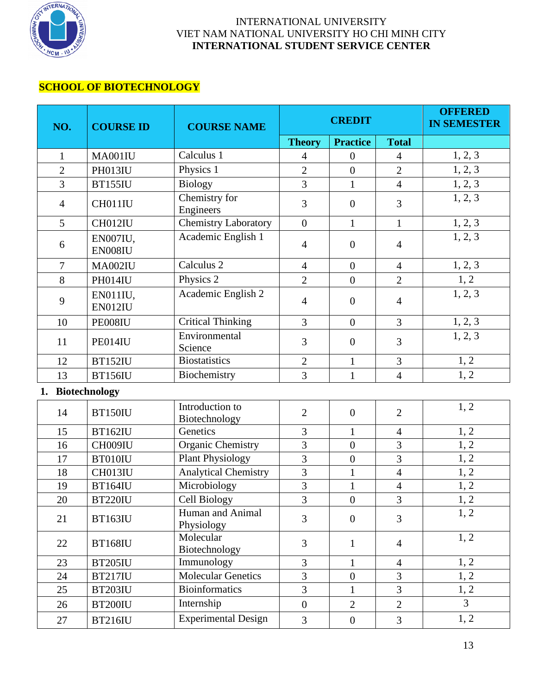

## **SCHOOL OF BIOTECHNOLOGY**

| NO.                        | <b>COURSE ID</b>    | <b>COURSE NAME</b>               |                  | <b>CREDIT</b>    |                | <b>OFFERED</b><br><b>IN SEMESTER</b> |
|----------------------------|---------------------|----------------------------------|------------------|------------------|----------------|--------------------------------------|
|                            |                     |                                  | <b>Theory</b>    | <b>Practice</b>  | <b>Total</b>   |                                      |
| $\mathbf{1}$               | MA001IU             | Calculus 1                       | $\overline{4}$   | $\overline{0}$   | $\overline{4}$ | 1, 2, 3                              |
| $\overline{2}$             | PH013IU             | Physics 1                        | $\overline{2}$   | $\overline{0}$   | $\overline{2}$ | 1, 2, 3                              |
| $\overline{3}$             | <b>BT155IU</b>      | <b>Biology</b>                   | $\overline{3}$   | $\mathbf{1}$     | $\overline{4}$ | 1, 2, 3                              |
| $\overline{4}$             | CH011IU             | Chemistry for<br>Engineers       | 3                | $\overline{0}$   | 3              | 1, 2, 3                              |
| $5\overline{)}$            | CH012IU             | <b>Chemistry Laboratory</b>      | $\overline{0}$   | $\mathbf{1}$     | $\mathbf{1}$   | 1, 2, 3                              |
| 6                          | EN007IU,<br>EN008IU | Academic English 1               | $\overline{4}$   | $\theta$         | $\overline{4}$ | 1, 2, 3                              |
| $\overline{7}$             | <b>MA002IU</b>      | Calculus <sub>2</sub>            | $\overline{4}$   | $\overline{0}$   | $\overline{4}$ | 1, 2, 3                              |
| 8                          | PH014IU             | Physics 2                        | $\overline{2}$   | $\boldsymbol{0}$ | $\overline{2}$ | 1, 2                                 |
| 9                          | EN011IU,<br>EN012IU | Academic English 2               | $\overline{4}$   | $\boldsymbol{0}$ | $\overline{4}$ | 1, 2, 3                              |
| 10                         | PE008IU             | <b>Critical Thinking</b>         | 3                | $\overline{0}$   | 3              | 1, 2, 3                              |
| 11                         | PE014IU             | Environmental<br>Science         | 3                | $\overline{0}$   | 3              | 1, 2, 3                              |
| 12                         | <b>BT152IU</b>      | <b>Biostatistics</b>             | $\overline{2}$   | $\mathbf{1}$     | $\overline{3}$ | 1, 2                                 |
| 13                         | <b>BT156IU</b>      | Biochemistry                     | 3                | $\mathbf{1}$     | $\overline{4}$ | 1, 2                                 |
| <b>Biotechnology</b><br>1. |                     |                                  |                  |                  |                |                                      |
| 14                         | <b>BT150IU</b>      | Introduction to<br>Biotechnology | $\overline{2}$   | $\overline{0}$   | $\overline{2}$ | 1, 2                                 |
| 15                         | <b>BT162IU</b>      | Genetics                         | 3                | $\mathbf{1}$     | $\overline{4}$ | 1, 2                                 |
| 16                         | CH009IU             | Organic Chemistry                | $\overline{3}$   | $\overline{0}$   | $\overline{3}$ | 1, 2                                 |
| 17                         | BT010IU             | <b>Plant Physiology</b>          | $\overline{3}$   | $\overline{0}$   | $\overline{3}$ | 1, 2                                 |
| 18                         | CH013IU             | <b>Analytical Chemistry</b>      | $\overline{3}$   | $\mathbf{1}$     | $\overline{4}$ | 1, 2                                 |
| 19                         | <b>BT164IU</b>      | Microbiology                     | $\overline{3}$   | $\mathbf{1}$     | $\overline{4}$ | 1, 2                                 |
| 20                         | <b>BT220IU</b>      | Cell Biology                     | $\overline{3}$   | $\overline{0}$   | $\overline{3}$ | 1, 2                                 |
| 21                         | <b>BT163IU</b>      | Human and Animal<br>Physiology   | $\overline{3}$   | $\overline{0}$   | $\overline{3}$ | 1, 2                                 |
| 22                         | <b>BT168IU</b>      | Molecular<br>Biotechnology       | 3                | $\mathbf{1}$     | $\overline{4}$ | 1, 2                                 |
| 23                         | <b>BT205IU</b>      | Immunology                       | 3                | $\mathbf{1}$     | $\overline{4}$ | 1, 2                                 |
| 24                         | <b>BT217IU</b>      | <b>Molecular Genetics</b>        | $\overline{3}$   | $\overline{0}$   | $\overline{3}$ | 1, 2                                 |
| 25                         | <b>BT203IU</b>      | <b>Bioinformatics</b>            | 3                | $\mathbf{1}$     | $\overline{3}$ | 1, 2                                 |
| 26                         | <b>BT200IU</b>      | Internship                       | $\boldsymbol{0}$ | $\overline{2}$   | $\overline{2}$ | $\overline{3}$                       |
| 27                         | <b>BT216IU</b>      | <b>Experimental Design</b>       | $\overline{3}$   | $\overline{0}$   | $\overline{3}$ | 1, 2                                 |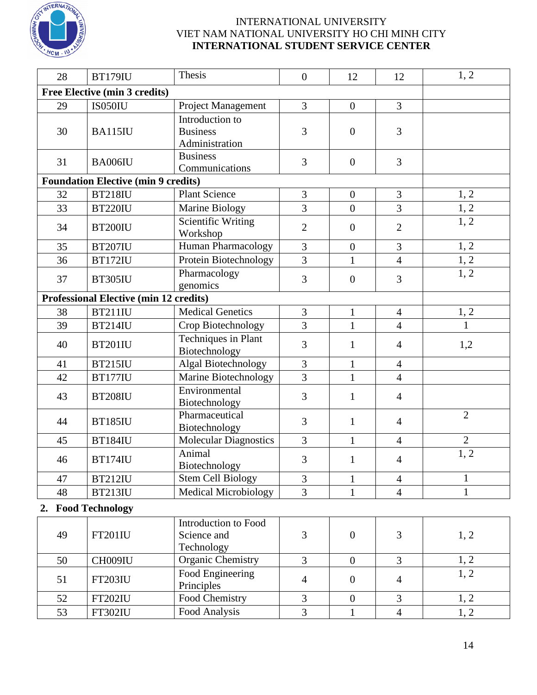

| 28 | <b>BT179IU</b>                                | Thesis                                               | $\boldsymbol{0}$ | 12               | 12             | 1, 2           |  |  |  |
|----|-----------------------------------------------|------------------------------------------------------|------------------|------------------|----------------|----------------|--|--|--|
|    | Free Elective (min 3 credits)                 |                                                      |                  |                  |                |                |  |  |  |
| 29 | IS050IU                                       | Project Management                                   | 3                | $\overline{0}$   | $\overline{3}$ |                |  |  |  |
| 30 | <b>BA115IU</b>                                | Introduction to<br><b>Business</b><br>Administration | 3                | $\overline{0}$   | 3              |                |  |  |  |
| 31 | BA006IU                                       | <b>Business</b><br>Communications                    | 3                | $\boldsymbol{0}$ | $\overline{3}$ |                |  |  |  |
|    | <b>Foundation Elective (min 9 credits)</b>    |                                                      |                  |                  |                |                |  |  |  |
| 32 | <b>BT218IU</b>                                | <b>Plant Science</b>                                 | 3                | $\overline{0}$   | 3              | 1, 2           |  |  |  |
| 33 | <b>BT220IU</b>                                | Marine Biology                                       | 3                | $\boldsymbol{0}$ | 3              | 1, 2           |  |  |  |
| 34 | <b>BT200IU</b>                                | <b>Scientific Writing</b><br>Workshop                | $\overline{2}$   | $\overline{0}$   | $\overline{2}$ | 1, 2           |  |  |  |
| 35 | <b>BT207IU</b>                                | Human Pharmacology                                   | 3                | $\overline{0}$   | 3              | 1, 2           |  |  |  |
| 36 | <b>BT172IU</b>                                | Protein Biotechnology                                | $\overline{3}$   | $\mathbf{1}$     | $\overline{4}$ | 1, 2           |  |  |  |
| 37 | <b>BT305IU</b>                                | Pharmacology<br>genomics                             | 3                | $\overline{0}$   | 3              | 1, 2           |  |  |  |
|    | <b>Professional Elective (min 12 credits)</b> |                                                      |                  |                  |                |                |  |  |  |
| 38 | <b>BT211IU</b>                                | <b>Medical Genetics</b>                              | 3                | $\mathbf{1}$     | $\overline{4}$ | 1, 2           |  |  |  |
| 39 | <b>BT214IU</b>                                | Crop Biotechnology                                   | 3                | $\mathbf{1}$     | $\overline{4}$ | 1              |  |  |  |
| 40 | <b>BT201IU</b>                                | Techniques in Plant<br>Biotechnology                 | 3                | 1                | $\overline{4}$ | 1,2            |  |  |  |
| 41 | <b>BT215IU</b>                                | Algal Biotechnology                                  | 3                | $\mathbf{1}$     | $\overline{4}$ |                |  |  |  |
| 42 | <b>BT177IU</b>                                | Marine Biotechnology                                 | 3                | $\mathbf{1}$     | $\overline{4}$ |                |  |  |  |
| 43 | <b>BT208IU</b>                                | Environmental<br>Biotechnology                       | 3                | $\mathbf{1}$     | $\overline{4}$ |                |  |  |  |
| 44 | <b>BT185IU</b>                                | Pharmaceutical<br>Biotechnology                      | 3                | $\mathbf{1}$     | $\overline{4}$ | $\overline{2}$ |  |  |  |
| 45 | <b>BT184IU</b>                                | <b>Molecular Diagnostics</b>                         | 3                | $\mathbf{1}$     | $\overline{4}$ | $\overline{2}$ |  |  |  |
| 46 | <b>BT174IU</b>                                | Animal<br>Biotechnology                              | 3                | $\mathbf{1}$     | $\overline{4}$ | 1, 2           |  |  |  |
| 47 | <b>BT212IU</b>                                | <b>Stem Cell Biology</b>                             | 3                | $\mathbf 1$      | $\overline{4}$ | $\mathbf{1}$   |  |  |  |
| 48 | <b>BT213IU</b>                                | <b>Medical Microbiology</b>                          | $\overline{3}$   | $\mathbf{1}$     | $\overline{4}$ | $\mathbf{1}$   |  |  |  |
|    | 2. Food Technology                            |                                                      |                  |                  |                |                |  |  |  |
| 49 | <b>FT201IU</b>                                | Introduction to Food<br>Science and<br>Technology    | 3                | $\mathbf{0}$     | 3              | 1, 2           |  |  |  |
| 50 | CH009IU                                       | <b>Organic Chemistry</b>                             | $\overline{3}$   | $\overline{0}$   | $\overline{3}$ | 1, 2           |  |  |  |
| 51 | <b>FT203IU</b>                                | Food Engineering<br>Principles                       | $\overline{4}$   | $\overline{0}$   | $\overline{4}$ | 1, 2           |  |  |  |
| 52 | <b>FT202IU</b>                                | Food Chemistry                                       | 3                | $\overline{0}$   | 3              | 1, 2           |  |  |  |
| 53 | <b>FT302IU</b>                                | Food Analysis                                        | 3                | $\mathbf{1}$     | $\overline{4}$ | 1, 2           |  |  |  |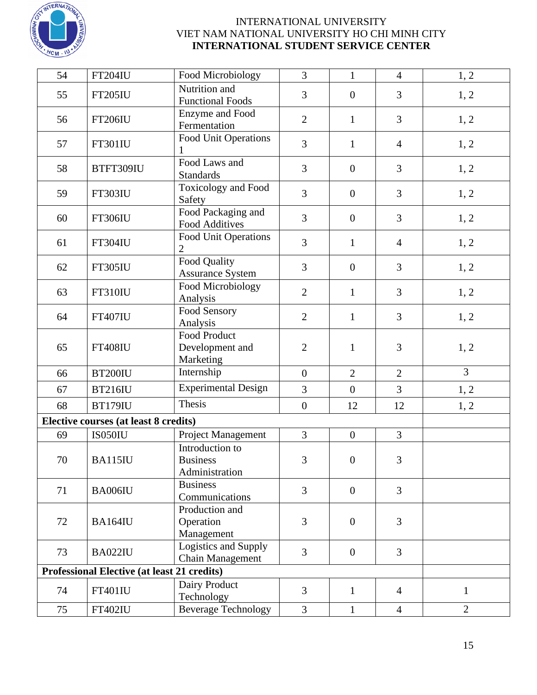

| 54 | <b>FT204IU</b>                                     | Food Microbiology                                    | 3                | $\mathbf{1}$     | $\overline{4}$ | 1, 2           |
|----|----------------------------------------------------|------------------------------------------------------|------------------|------------------|----------------|----------------|
| 55 | <b>FT205IU</b>                                     | Nutrition and<br><b>Functional Foods</b>             | 3                | $\overline{0}$   | $\overline{3}$ | 1, 2           |
| 56 | <b>FT206IU</b>                                     | Enzyme and Food<br>Fermentation                      | $\overline{2}$   | $\mathbf{1}$     | 3              | 1, 2           |
| 57 | <b>FT301IU</b>                                     | Food Unit Operations                                 | 3                | $\mathbf{1}$     | $\overline{4}$ | 1, 2           |
| 58 | BTFT309IU                                          | Food Laws and<br><b>Standards</b>                    | 3                | $\overline{0}$   | $\overline{3}$ | 1, 2           |
| 59 | <b>FT303IU</b>                                     | <b>Toxicology</b> and Food<br>Safety                 | $\overline{3}$   | $\boldsymbol{0}$ | 3              | 1, 2           |
| 60 | <b>FT306IU</b>                                     | Food Packaging and<br><b>Food Additives</b>          | 3                | $\mathbf{0}$     | $\overline{3}$ | 1, 2           |
| 61 | <b>FT304IU</b>                                     | Food Unit Operations<br>$\overline{2}$               | 3                | $\mathbf{1}$     | $\overline{4}$ | 1, 2           |
| 62 | <b>FT305IU</b>                                     | Food Quality<br><b>Assurance System</b>              | 3                | $\overline{0}$   | 3              | 1, 2           |
| 63 | <b>FT310IU</b>                                     | Food Microbiology<br>Analysis                        | $\overline{2}$   | $\mathbf{1}$     | $\overline{3}$ | 1, 2           |
| 64 | <b>FT407IU</b>                                     | Food Sensory<br>Analysis                             | $\overline{2}$   | $\mathbf{1}$     | 3              | 1, 2           |
| 65 | <b>FT408IU</b>                                     | <b>Food Product</b><br>Development and<br>Marketing  | $\mathbf{2}$     | $\mathbf{1}$     | 3              | 1, 2           |
| 66 | <b>BT200IU</b>                                     | Internship                                           | $\boldsymbol{0}$ | $\overline{2}$   | $\overline{2}$ | $\overline{3}$ |
| 67 | <b>BT216IU</b>                                     | <b>Experimental Design</b>                           | 3                | $\mathbf{0}$     | $\overline{3}$ | 1, 2           |
| 68 | <b>BT179IU</b>                                     | Thesis                                               | $\boldsymbol{0}$ | 12               | 12             | 1, 2           |
|    | Elective courses (at least 8 credits)              |                                                      |                  |                  |                |                |
| 69 | IS050IU                                            | Project Management                                   | 3                | $\overline{0}$   | 3              |                |
| 70 | BA115IU                                            | Introduction to<br><b>Business</b><br>Administration | 3                | $\overline{0}$   | 3              |                |
| 71 | BA006IU                                            | <b>Business</b><br>Communications                    | 3                | $\overline{0}$   | $\overline{3}$ |                |
| 72 | BA164IU                                            | Production and<br>Operation<br>Management            | 3                | $\overline{0}$   | $\overline{3}$ |                |
| 73 | BA022IU                                            | Logistics and Supply<br><b>Chain Management</b>      | 3                | $\overline{0}$   | $\overline{3}$ |                |
|    | <b>Professional Elective (at least 21 credits)</b> |                                                      |                  |                  |                |                |
| 74 | <b>FT401IU</b>                                     | Dairy Product<br>Technology                          | 3                | $\mathbf{1}$     | $\overline{4}$ | $\mathbf{1}$   |
| 75 | <b>FT402IU</b>                                     | <b>Beverage Technology</b>                           | 3                | $\mathbf{1}$     | $\overline{4}$ | $\overline{2}$ |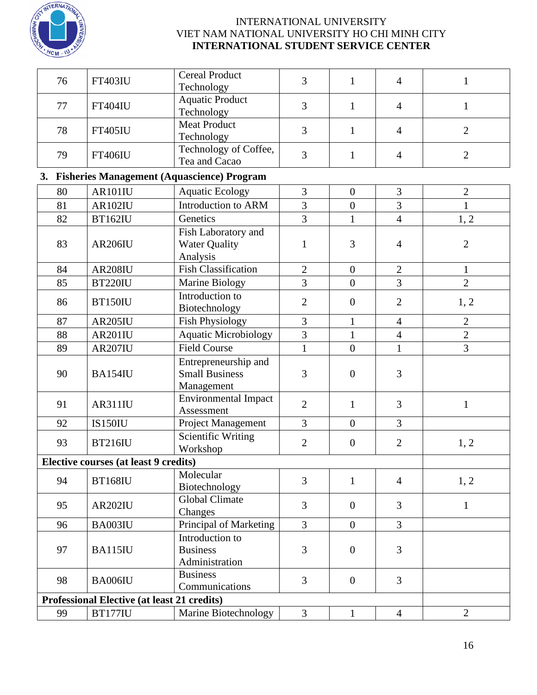

| 76 | FT403IU                                            | <b>Cereal Product</b><br>Technology                         | 3              | $\mathbf{1}$     | $\overline{4}$ | $\mathbf{1}$   |
|----|----------------------------------------------------|-------------------------------------------------------------|----------------|------------------|----------------|----------------|
| 77 | <b>FT404IU</b>                                     | <b>Aquatic Product</b><br>Technology                        | 3              | $\mathbf{1}$     | $\overline{4}$ | $\mathbf{1}$   |
| 78 | <b>FT405IU</b>                                     | <b>Meat Product</b><br>Technology                           | 3              | $\mathbf{1}$     | $\overline{4}$ | $\overline{2}$ |
| 79 | <b>FT406IU</b>                                     | Technology of Coffee,<br>Tea and Cacao                      | 3              | $\mathbf{1}$     | $\overline{4}$ | $\overline{2}$ |
|    |                                                    | 3. Fisheries Management (Aquascience) Program               |                |                  |                |                |
| 80 | AR101IU                                            | <b>Aquatic Ecology</b>                                      | 3              | $\overline{0}$   | 3              | $\overline{2}$ |
| 81 | <b>AR102IU</b>                                     | Introduction to ARM                                         | 3              | $\boldsymbol{0}$ | $\overline{3}$ | $\mathbf{1}$   |
| 82 | <b>BT162IU</b>                                     | Genetics                                                    | 3              | $\mathbf{1}$     | $\overline{4}$ | 1, 2           |
| 83 | <b>AR206IU</b>                                     | Fish Laboratory and<br><b>Water Quality</b><br>Analysis     | $\mathbf{1}$   | $\overline{3}$   | $\overline{4}$ | $\overline{2}$ |
| 84 | <b>AR208IU</b>                                     | <b>Fish Classification</b>                                  | $\overline{2}$ | $\boldsymbol{0}$ | $\mathbf{2}$   | $\mathbf{1}$   |
| 85 | <b>BT220IU</b>                                     | Marine Biology                                              | $\overline{3}$ | $\overline{0}$   | $\overline{3}$ | $\overline{2}$ |
| 86 | <b>BT150IU</b>                                     | Introduction to<br>Biotechnology                            | $\overline{2}$ | $\boldsymbol{0}$ | $\overline{2}$ | 1, 2           |
| 87 | <b>AR205IU</b>                                     | <b>Fish Physiology</b>                                      | $\overline{3}$ | $\mathbf{1}$     | $\overline{4}$ | $\overline{2}$ |
| 88 | AR201IU                                            | Aquatic Microbiology                                        | 3              | $\mathbf{1}$     | $\overline{4}$ | $\overline{2}$ |
| 89 | <b>AR207IU</b>                                     | <b>Field Course</b>                                         | $\mathbf{1}$   | $\overline{0}$   | $\mathbf{1}$   | 3              |
| 90 | BA154IU                                            | Entrepreneurship and<br><b>Small Business</b><br>Management | 3              | $\boldsymbol{0}$ | $\overline{3}$ |                |
| 91 | AR311IU                                            | <b>Environmental Impact</b><br>Assessment                   | $\overline{2}$ | $\mathbf{1}$     | $\overline{3}$ | $\mathbf{1}$   |
| 92 | <b>IS150IU</b>                                     | Project Management                                          | 3              | $\overline{0}$   | $\overline{3}$ |                |
| 93 | <b>BT216IU</b>                                     | <b>Scientific Writing</b><br>Workshop                       | $\mathfrak{2}$ | $\boldsymbol{0}$ | $\overline{2}$ | 1, 2           |
|    | Elective courses (at least 9 credits)              |                                                             |                |                  |                |                |
| 94 | <b>BT168IU</b>                                     | Molecular<br>Biotechnology                                  | $\overline{3}$ | $\mathbf{1}$     | $\overline{4}$ | 1, 2           |
| 95 | AR202IU                                            | Global Climate<br>Changes                                   | 3              | $\overline{0}$   | $\overline{3}$ | $\mathbf{1}$   |
| 96 | BA003IU                                            | Principal of Marketing                                      | 3              | $\overline{0}$   | $\overline{3}$ |                |
| 97 | BA115IU                                            | Introduction to<br><b>Business</b><br>Administration        | 3              | $\mathbf{0}$     | 3              |                |
| 98 | BA006IU                                            | <b>Business</b><br>Communications                           | $\overline{3}$ | $\overline{0}$   | $\overline{3}$ |                |
|    | <b>Professional Elective (at least 21 credits)</b> |                                                             |                |                  |                |                |
| 99 | <b>BT177IU</b>                                     | Marine Biotechnology                                        | $\mathfrak{Z}$ | $\mathbf{1}$     | $\overline{4}$ | $\overline{2}$ |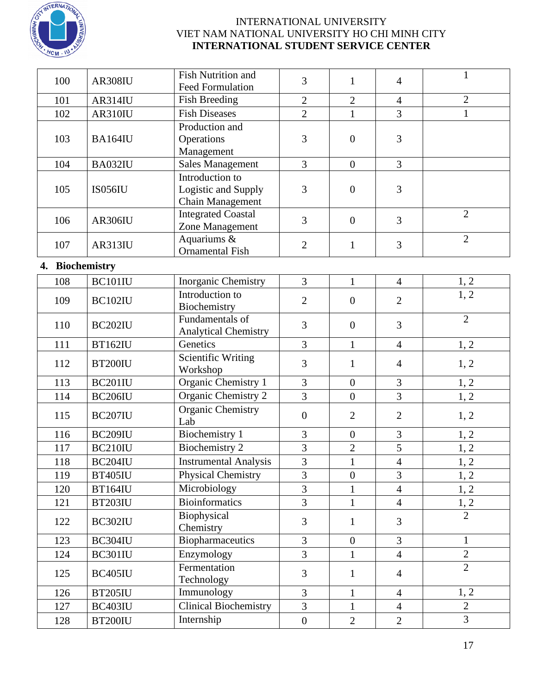

| 100             | AR308IU        | <b>Fish Nutrition and</b><br><b>Feed Formulation</b>              | 3                | $\mathbf{1}$     | $\overline{4}$ | $\mathbf{1}$   |
|-----------------|----------------|-------------------------------------------------------------------|------------------|------------------|----------------|----------------|
| 101             | AR314IU        | Fish Breeding                                                     | $\overline{2}$   | $\overline{2}$   | $\overline{4}$ | $\overline{2}$ |
| 102             | AR310IU        | <b>Fish Diseases</b>                                              | $\overline{2}$   | $\mathbf{1}$     | 3              | $\mathbf{1}$   |
|                 |                | Production and                                                    |                  |                  |                |                |
| 103             | BA164IU        | Operations<br>Management                                          | 3                | $\overline{0}$   | 3              |                |
| 104             | BA032IU        | <b>Sales Management</b>                                           | 3                | $\overline{0}$   | $\overline{3}$ |                |
| 105             | IS056IU        | Introduction to<br>Logistic and Supply<br><b>Chain Management</b> | 3                | $\overline{0}$   | 3              |                |
| 106             | AR306IU        | <b>Integrated Coastal</b><br>Zone Management                      | 3                | $\overline{0}$   | 3              | $\overline{2}$ |
| 107             | AR313IU        | Aquariums &<br><b>Ornamental Fish</b>                             | $\overline{2}$   | $\mathbf{1}$     | 3              | $\overline{2}$ |
| 4. Biochemistry |                |                                                                   |                  |                  |                |                |
| 108             | BC101IU        | Inorganic Chemistry                                               | 3                | $\mathbf{1}$     | $\overline{4}$ | 1, 2           |
| 109             | BC102IU        | Introduction to<br>Biochemistry                                   | $\overline{2}$   | $\overline{0}$   | $\overline{2}$ | 1, 2           |
| 110             | BC202IU        | Fundamentals of<br><b>Analytical Chemistry</b>                    | 3                | $\overline{0}$   | 3              | $\overline{2}$ |
| 111             | <b>BT162IU</b> | Genetics                                                          | 3                | $\mathbf{1}$     | $\overline{4}$ | 1, 2           |
| 112             | <b>BT200IU</b> | Scientific Writing<br>Workshop                                    | 3                | $\mathbf{1}$     | $\overline{4}$ | 1, 2           |
| 113             | BC201IU        | Organic Chemistry 1                                               | 3                | $\boldsymbol{0}$ | 3              | 1, 2           |
| 114             | BC206IU        | Organic Chemistry 2                                               | $\overline{3}$   | $\overline{0}$   | 3              | 1, 2           |
| 115             | <b>BC207IU</b> | <b>Organic Chemistry</b><br>Lab                                   | $\boldsymbol{0}$ | $\overline{2}$   | $\overline{2}$ | 1, 2           |
| 116             | <b>BC209IU</b> | Biochemistry 1                                                    | 3                | $\boldsymbol{0}$ | 3              | 1, 2           |
| 117             | <b>BC210IU</b> | Biochemistry 2                                                    | 3                | $\sqrt{2}$       | 5              | 1, 2           |
| 118             | BC204IU        | <b>Instrumental Analysis</b>                                      | $\overline{3}$   | $\mathbf{1}$     | $\overline{4}$ | 1, 2           |
| 119             | <b>BT405IU</b> | Physical Chemistry                                                | 3                | $\overline{0}$   | 3              | 1, 2           |
| 120             | <b>BT164IU</b> | Microbiology                                                      | 3                | $\mathbf{1}$     | $\overline{4}$ | 1, 2           |
| 121             | BT203IU        | <b>Bioinformatics</b>                                             | $\overline{3}$   | $\mathbf{1}$     | $\overline{4}$ | 1, 2           |
| 122             | BC302IU        | Biophysical<br>Chemistry                                          | 3                | $\mathbf{1}$     | $\overline{3}$ | $\overline{2}$ |
| 123             | BC304IU        | Biopharmaceutics                                                  | 3                | $\overline{0}$   | $\overline{3}$ | $\mathbf{1}$   |
| 124             | BC301IU        | Enzymology                                                        | $\overline{3}$   | 1                | $\overline{4}$ | $\overline{2}$ |
| 125             | BC405IU        | Fermentation<br>Technology                                        | 3                | $\mathbf{1}$     | $\overline{4}$ | $\overline{2}$ |
| 126             | <b>BT205IU</b> | Immunology                                                        | 3                | $\mathbf{1}$     | $\overline{4}$ | 1, 2           |
| 127             | BC403IU        | <b>Clinical Biochemistry</b>                                      | 3                | $\mathbf{1}$     | $\overline{4}$ | $\overline{2}$ |
| 128             | <b>BT200IU</b> | Internship                                                        | $\boldsymbol{0}$ | $\overline{2}$   | $\overline{2}$ | $\overline{3}$ |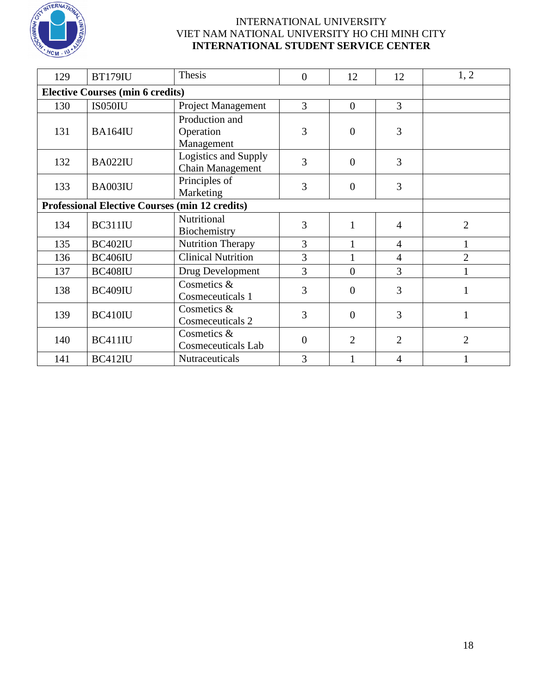

| 129                                     | <b>BT179IU</b>                                        | Thesis                                    | $\mathbf{0}$   | 12             | 12             | 1, 2           |
|-----------------------------------------|-------------------------------------------------------|-------------------------------------------|----------------|----------------|----------------|----------------|
| <b>Elective Courses (min 6 credits)</b> |                                                       |                                           |                |                |                |                |
| 130                                     | IS050IU                                               | <b>Project Management</b>                 | 3              | $\theta$       | $\overline{3}$ |                |
| 131                                     | <b>BA164IU</b>                                        | Production and<br>Operation<br>Management | 3              | $\overline{0}$ | 3              |                |
| 132                                     | <b>BA022IU</b>                                        | Logistics and Supply<br>Chain Management  | 3              | $\overline{0}$ | 3              |                |
| 133                                     | BA003IU                                               | Principles of<br>Marketing                | 3              | $\overline{0}$ | 3              |                |
|                                         | <b>Professional Elective Courses (min 12 credits)</b> |                                           |                |                |                |                |
| 134                                     | BC311IU                                               | Nutritional<br>Biochemistry               | 3              | 1              | $\overline{4}$ | $\overline{2}$ |
| 135                                     | BC402IU                                               | <b>Nutrition Therapy</b>                  | 3              | $\mathbf{1}$   | $\overline{4}$ | 1              |
| 136                                     | BC406IU                                               | <b>Clinical Nutrition</b>                 | 3              | 1              | $\overline{4}$ | $\overline{2}$ |
| 137                                     | <b>BC408IU</b>                                        | Drug Development                          | 3              | $\Omega$       | 3              | 1              |
| 138                                     | BC409IU                                               | Cosmetics &<br>Cosmeceuticals 1           | 3              | $\theta$       | 3              | $\mathbf{1}$   |
| 139                                     | BC410IU                                               | Cosmetics &<br>Cosmeceuticals 2           | 3              | $\overline{0}$ | 3              | $\mathbf{1}$   |
| 140                                     | BC411IU                                               | Cosmetics &<br><b>Cosmeceuticals Lab</b>  | $\overline{0}$ | $\overline{2}$ | 2              | $\overline{2}$ |
| 141                                     | BC412IU                                               | Nutraceuticals                            | 3              | 1              | 4              |                |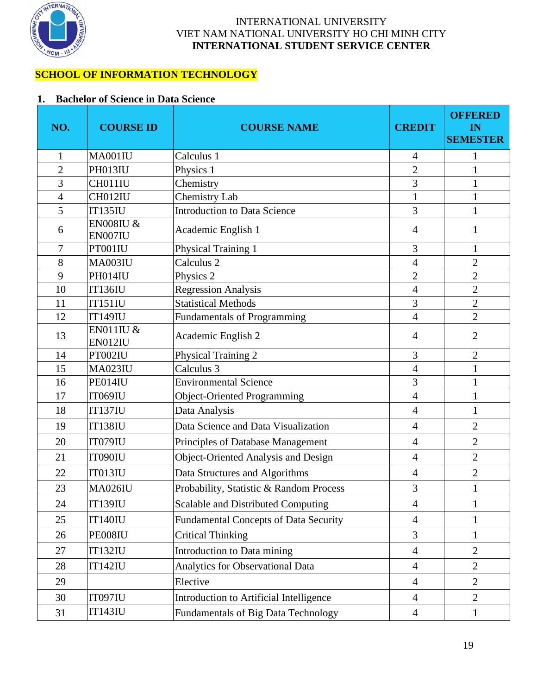

## **SCHOOL OF INFORMATION TECHNOLOGY**

## **1. Bachelor of Science in Data Science**

| NO.            | <b>COURSE ID</b>                | <b>COURSE NAME</b>                           | <b>CREDIT</b>  | <b>OFFERED</b><br>IN<br><b>SEMESTER</b> |
|----------------|---------------------------------|----------------------------------------------|----------------|-----------------------------------------|
| 1              | MA001IU                         | Calculus 1                                   | $\overline{4}$ | 1                                       |
| $\overline{2}$ | PH013IU                         | Physics 1                                    | $\overline{2}$ | $\mathbf{1}$                            |
| 3              | CH011IU                         | Chemistry                                    | 3              |                                         |
| $\overline{4}$ | CH012IU                         | Chemistry Lab                                | $\mathbf{1}$   | $\mathbf{1}$                            |
| 5              | <b>IT135IU</b>                  | <b>Introduction to Data Science</b>          | 3              | 1                                       |
| 6              | <b>EN008IU &amp;</b><br>EN007IU | Academic English 1                           | $\overline{4}$ | 1                                       |
| 7              | PT001IU                         | Physical Training 1                          | 3              | $\mathbf{1}$                            |
| 8              | MA003IU                         | Calculus <sub>2</sub>                        | $\overline{4}$ | $\overline{2}$                          |
| 9              | PH014IU                         | Physics 2                                    | $\overline{c}$ | $\overline{c}$                          |
| 10             | <b>IT136IU</b>                  | <b>Regression Analysis</b>                   | $\overline{4}$ | $\overline{2}$                          |
| 11             | <b>IT151IU</b>                  | <b>Statistical Methods</b>                   | 3              | $\overline{2}$                          |
| 12             | <b>IT149IU</b>                  | Fundamentals of Programming                  | $\overline{4}$ | $\overline{2}$                          |
| 13             | <b>EN011IU &amp;</b><br>EN012IU | Academic English 2                           | $\overline{4}$ | $\overline{2}$                          |
| 14             | PT002IU                         | Physical Training 2                          | 3              | $\overline{2}$                          |
| 15             | <b>MA023IU</b>                  | Calculus 3                                   | $\overline{4}$ | $\mathbf{1}$                            |
| 16             | PE014IU                         | <b>Environmental Science</b>                 | 3              | 1                                       |
| 17             | <b>IT069IU</b>                  | <b>Object-Oriented Programming</b>           | $\overline{4}$ | 1                                       |
| 18             | <b>IT137IU</b>                  | Data Analysis                                | $\overline{4}$ | 1                                       |
| 19             | <b>IT138IU</b>                  | Data Science and Data Visualization          | $\overline{4}$ | $\overline{2}$                          |
| 20             | IT079IU                         | Principles of Database Management            | $\overline{4}$ | $\overline{2}$                          |
| 21             | IT090IU                         | Object-Oriented Analysis and Design          | $\overline{4}$ | $\overline{2}$                          |
| 22             | IT013IU                         | Data Structures and Algorithms               | $\overline{4}$ | $\overline{2}$                          |
| 23             | <b>MA026IU</b>                  | Probability, Statistic & Random Process      | 3              | $\mathbf{1}$                            |
| 24             | <b>IT139IU</b>                  | Scalable and Distributed Computing           | $\overline{4}$ | $\mathbf{1}$                            |
| 25             | <b>IT140IU</b>                  | <b>Fundamental Concepts of Data Security</b> | $\overline{4}$ | 1                                       |
| 26             | PE008IU                         | <b>Critical Thinking</b>                     | 3              | $\mathbf{1}$                            |
| 27             | <b>IT132IU</b>                  | Introduction to Data mining                  | $\overline{4}$ | $\overline{2}$                          |
| 28             | <b>IT142IU</b>                  | Analytics for Observational Data             | $\overline{4}$ | $\overline{2}$                          |
| 29             |                                 | Elective                                     | $\overline{4}$ | $\overline{2}$                          |
| 30             | IT097IU                         | Introduction to Artificial Intelligence      | $\overline{4}$ | $\overline{2}$                          |
| 31             | <b>IT143IU</b>                  | Fundamentals of Big Data Technology          | $\overline{4}$ | $\mathbf{1}$                            |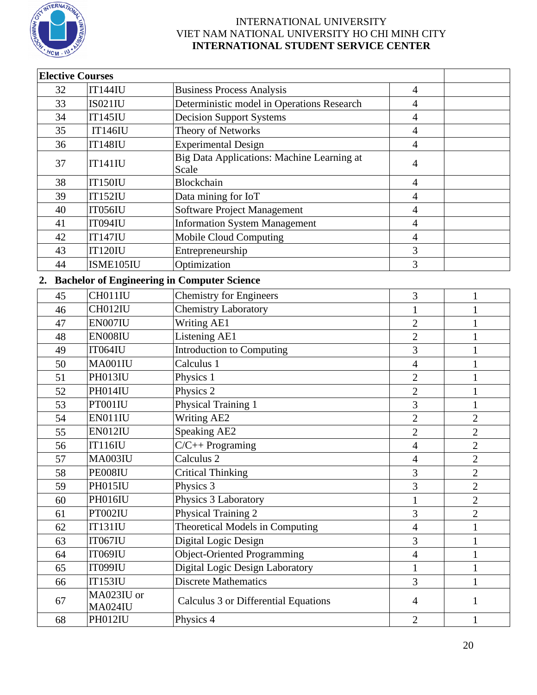

| <b>Elective Courses</b> |                       |                                                     |                |                |
|-------------------------|-----------------------|-----------------------------------------------------|----------------|----------------|
| 32                      | <b>IT144IU</b>        | <b>Business Process Analysis</b>                    | 4              |                |
| 33                      | <b>IS021IU</b>        | Deterministic model in Operations Research          | 4              |                |
| 34                      | <b>IT145IU</b>        | <b>Decision Support Systems</b>                     | $\overline{4}$ |                |
| 35                      | <b>IT146IU</b>        | Theory of Networks                                  | $\overline{4}$ |                |
| 36                      | <b>IT148IU</b>        | <b>Experimental Design</b>                          | $\overline{4}$ |                |
| 37                      | <b>IT141IU</b>        | Big Data Applications: Machine Learning at<br>Scale | 4              |                |
| 38                      | <b>IT150IU</b>        | Blockchain                                          | 4              |                |
| 39                      | <b>IT152IU</b>        | Data mining for IoT                                 | $\overline{4}$ |                |
| 40                      | IT056IU               | <b>Software Project Management</b>                  | $\overline{4}$ |                |
| 41                      | IT094IU               | <b>Information System Management</b>                | $\overline{4}$ |                |
| 42                      | <b>IT147IU</b>        | <b>Mobile Cloud Computing</b>                       | 4              |                |
| 43                      | <b>IT120IU</b>        | Entrepreneurship                                    | 3              |                |
| 44                      | ISME105IU             | Optimization                                        | 3              |                |
| 2.                      |                       | <b>Bachelor of Engineering in Computer Science</b>  |                |                |
| 45                      | CH011IU               | <b>Chemistry for Engineers</b>                      | 3              | 1              |
| 46                      | CH012IU               | <b>Chemistry Laboratory</b>                         | $\mathbf{1}$   | 1              |
| 47                      | EN007IU               | <b>Writing AE1</b>                                  | $\mathbf{2}$   | 1              |
| 48                      | EN008IU               | Listening AE1                                       | $\overline{2}$ | 1              |
| 49                      | IT064IU               | Introduction to Computing                           | 3              | 1              |
| 50                      | MA001IU               | Calculus 1                                          | $\overline{4}$ | 1              |
| 51                      | PH013IU               | Physics 1                                           | $\overline{2}$ | 1              |
| 52                      | PH014IU               | Physics 2                                           | $\overline{2}$ | 1              |
| 53                      | PT001IU               | Physical Training 1                                 | 3              | 1              |
| 54                      | EN011IU               | <b>Writing AE2</b>                                  | $\overline{2}$ | $\overline{2}$ |
| 55                      | EN012IU               | <b>Speaking AE2</b>                                 | $\overline{2}$ | $\overline{2}$ |
| 56                      | <b>IT116IU</b>        | $C/C++$ Programing                                  | 4              | $\mathbf{2}$   |
| 57                      | MA003IU               | Calculus <sub>2</sub>                               | $\overline{4}$ | $\overline{2}$ |
| 58                      | PE008IU               | <b>Critical Thinking</b>                            | 3              | $\overline{2}$ |
| 59                      | PH015IU               | Physics 3                                           | 3              | $\overline{2}$ |
| 60                      | <b>PH016IU</b>        | Physics 3 Laboratory                                | $\mathbf{1}$   | $\overline{2}$ |
| 61                      | PT002IU               | Physical Training 2                                 | 3              | $\overline{2}$ |
| 62                      | <b>IT131IU</b>        | Theoretical Models in Computing                     | $\overline{4}$ | 1              |
| 63                      | <b>IT067IU</b>        | Digital Logic Design                                | 3              | 1              |
| 64                      | <b>IT069IU</b>        | <b>Object-Oriented Programming</b>                  | $\overline{4}$ | 1              |
| 65                      | <b>IT099IU</b>        | Digital Logic Design Laboratory                     | $\mathbf{1}$   | 1              |
| 66                      | <b>IT153IU</b>        | <b>Discrete Mathematics</b>                         | $\overline{3}$ | 1              |
| 67                      | MA023IU or<br>MA024IU | Calculus 3 or Differential Equations                | $\overline{4}$ | 1              |
| 68                      | PH012IU               | Physics 4                                           | $\overline{2}$ | $\mathbf{1}$   |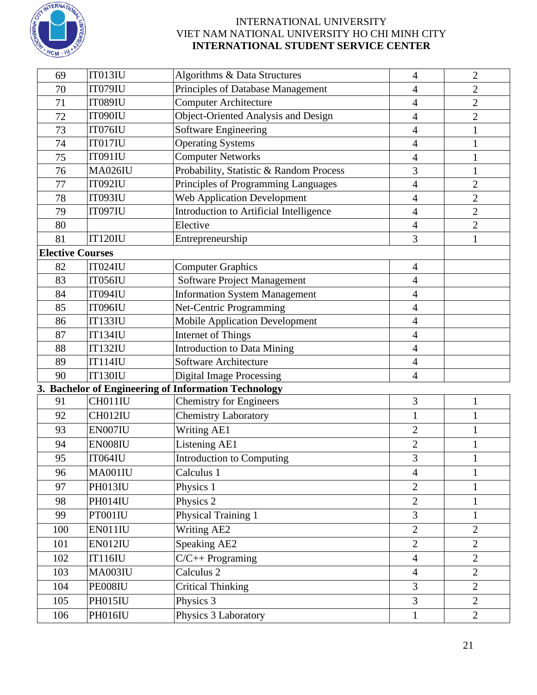

| 69                      | IT013IU        | <b>Algorithms &amp; Data Structures</b>              | $\overline{4}$ | $\overline{2}$ |
|-------------------------|----------------|------------------------------------------------------|----------------|----------------|
| 70                      | IT079IU        | Principles of Database Management                    | 4              | $\overline{2}$ |
| 71                      | <b>IT089IU</b> | <b>Computer Architecture</b>                         | $\overline{4}$ | $\overline{2}$ |
| 72                      | IT090IU        | Object-Oriented Analysis and Design                  | $\overline{4}$ | $\overline{2}$ |
| 73                      | IT076IU        | Software Engineering                                 | $\overline{4}$ | $\mathbf{1}$   |
| 74                      | IT017IU        | <b>Operating Systems</b>                             | $\overline{4}$ |                |
| 75                      | IT091IU        | <b>Computer Networks</b>                             | $\overline{4}$ | 1              |
| 76                      | <b>MA026IU</b> | Probability, Statistic & Random Process              | 3              | 1              |
| 77                      | IT092IU        | Principles of Programming Languages                  | $\overline{4}$ | $\overline{2}$ |
| 78                      | <b>IT093IU</b> | <b>Web Application Development</b>                   | $\overline{4}$ | $\overline{2}$ |
| 79                      | IT097IU        | Introduction to Artificial Intelligence              | $\overline{4}$ | $\overline{c}$ |
| 80                      |                | Elective                                             | 4              | $\overline{2}$ |
| 81                      | <b>IT120IU</b> | Entrepreneurship                                     | 3              | $\mathbf{1}$   |
| <b>Elective Courses</b> |                |                                                      |                |                |
| 82                      | <b>IT024IU</b> | <b>Computer Graphics</b>                             | $\overline{4}$ |                |
| 83                      | <b>IT056IU</b> | Software Project Management                          | $\overline{4}$ |                |
| 84                      | <b>IT094IU</b> | <b>Information System Management</b>                 | $\overline{4}$ |                |
| 85                      | <b>IT096IU</b> | Net-Centric Programming                              | $\overline{4}$ |                |
| 86                      | <b>IT133IU</b> | <b>Mobile Application Development</b>                | $\overline{4}$ |                |
| 87                      | <b>IT134IU</b> | <b>Internet of Things</b>                            | $\overline{4}$ |                |
| 88                      | <b>IT132IU</b> | <b>Introduction to Data Mining</b>                   | $\overline{4}$ |                |
| 89                      | <b>IT114IU</b> | <b>Software Architecture</b>                         | 4              |                |
| 90                      | <b>IT130IU</b> | <b>Digital Image Processing</b>                      | $\overline{4}$ |                |
|                         |                | 3. Bachelor of Engineering of Information Technology |                |                |
| 91                      | CH011IU        | <b>Chemistry for Engineers</b>                       | 3              | $\mathbf{1}$   |
| 92                      | CH012IU        | <b>Chemistry Laboratory</b>                          | $\mathbf{1}$   | $\mathbf{1}$   |
| 93                      | EN007IU        | Writing AE1                                          | $\mathfrak{2}$ | 1              |
| 94                      | EN008IU        | Listening AE1                                        | $\overline{2}$ | $\mathbf{1}$   |
| 95                      | IT064IU        | <b>Introduction to Computing</b>                     | 3              |                |
| 96                      | MA001IU        | Calculus 1                                           | $\overline{4}$ | $\mathbf{1}$   |
| 97                      | PH013IU        | Physics 1                                            | $\overline{2}$ | 1              |
| 98                      | PH014IU        | Physics 2                                            | $\overline{2}$ | $\mathbf{1}$   |
| 99                      | PT001IU        | Physical Training 1                                  | 3              | $\mathbf{1}$   |
| 100                     | EN011IU        | Writing AE2                                          | $\overline{2}$ | $\overline{2}$ |
| 101                     | EN012IU        | Speaking AE2                                         | $\overline{2}$ | $\overline{2}$ |
| 102                     | <b>IT116IU</b> | $C/C++$ Programing                                   | $\overline{4}$ | $\overline{2}$ |
| 103                     | <b>MA003IU</b> | Calculus 2                                           | $\overline{4}$ | $\overline{2}$ |
| 104                     | PE008IU        | <b>Critical Thinking</b>                             | 3              | $\overline{2}$ |
| 105                     | PH015IU        | Physics 3                                            | 3              | $\overline{2}$ |
| 106                     | PH016IU        | Physics 3 Laboratory                                 | $\mathbf{1}$   | $\overline{2}$ |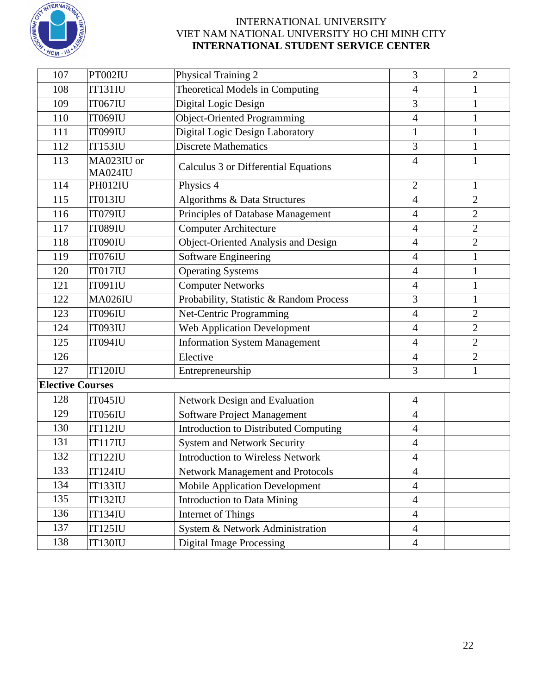

| 107                     | PT002IU               | Physical Training 2                     | 3              | $\overline{2}$ |
|-------------------------|-----------------------|-----------------------------------------|----------------|----------------|
| 108                     | IT131IU               | Theoretical Models in Computing         | $\overline{4}$ | 1              |
| 109                     | <b>IT067IU</b>        | Digital Logic Design                    | 3              | $\mathbf{1}$   |
| 110                     | <b>IT069IU</b>        | <b>Object-Oriented Programming</b>      | $\overline{4}$ | 1              |
| 111                     | <b>IT099IU</b>        | Digital Logic Design Laboratory         | $\mathbf{1}$   | $\mathbf{1}$   |
| 112                     | <b>IT153IU</b>        | <b>Discrete Mathematics</b>             | 3              | 1              |
| 113                     | MA023IU or<br>MA024IU | Calculus 3 or Differential Equations    | $\overline{4}$ | 1              |
| 114                     | PH012IU               | Physics 4                               | $\overline{2}$ | 1              |
| 115                     | IT013IU               | Algorithms & Data Structures            | $\overline{4}$ | $\overline{2}$ |
| 116                     | IT079IU               | Principles of Database Management       | $\overline{4}$ | $\overline{2}$ |
| 117                     | <b>IT089IU</b>        | <b>Computer Architecture</b>            | $\overline{4}$ | $\overline{2}$ |
| 118                     | IT090IU               | Object-Oriented Analysis and Design     | $\overline{4}$ | $\overline{2}$ |
| 119                     | IT076IU               | Software Engineering                    | $\overline{4}$ | $\mathbf{1}$   |
| 120                     | IT017IU               | <b>Operating Systems</b>                | $\overline{4}$ | $\mathbf{1}$   |
| 121                     | IT091IU               | <b>Computer Networks</b>                | 4              | 1              |
| 122                     | <b>MA026IU</b>        | Probability, Statistic & Random Process | 3              | $\mathbf{1}$   |
| 123                     | <b>IT096IU</b>        | Net-Centric Programming                 | $\overline{4}$ | $\overline{2}$ |
| 124                     | <b>IT093IU</b>        | <b>Web Application Development</b>      | $\overline{4}$ | $\overline{2}$ |
| 125                     | <b>IT094IU</b>        | <b>Information System Management</b>    | $\overline{4}$ | $\overline{2}$ |
| 126                     |                       | Elective                                | 4              | $\overline{2}$ |
| 127                     | IT120IU               | Entrepreneurship                        | 3              | 1              |
| <b>Elective Courses</b> |                       |                                         |                |                |
| 128                     | IT045IU               | Network Design and Evaluation           | $\overline{4}$ |                |
| 129                     | <b>IT056IU</b>        | Software Project Management             | $\overline{4}$ |                |
| 130                     | <b>IT112IU</b>        | Introduction to Distributed Computing   | 4              |                |
| 131                     | <b>IT117IU</b>        | <b>System and Network Security</b>      | $\overline{4}$ |                |
| 132                     | <b>IT122IU</b>        | <b>Introduction to Wireless Network</b> | 4              |                |
| 133                     | <b>IT124IU</b>        | <b>Network Management and Protocols</b> | $\overline{4}$ |                |
| 134                     | <b>IT133IU</b>        | <b>Mobile Application Development</b>   | $\overline{4}$ |                |
| 135                     | <b>IT132IU</b>        | <b>Introduction to Data Mining</b>      | $\overline{4}$ |                |
| 136                     | <b>IT134IU</b>        | Internet of Things                      | $\overline{4}$ |                |
| 137                     | <b>IT125IU</b>        | System & Network Administration         | $\overline{4}$ |                |
| 138                     | <b>IT130IU</b>        | <b>Digital Image Processing</b>         | $\overline{4}$ |                |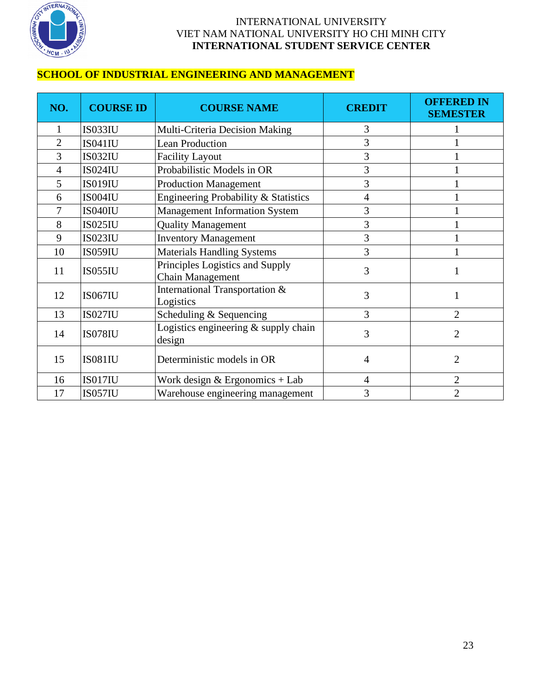

## **SCHOOL OF INDUSTRIAL ENGINEERING AND MANAGEMENT**

| NO.            | <b>COURSE ID</b> | <b>COURSE NAME</b>                                  | <b>CREDIT</b>  | <b>OFFERED IN</b><br><b>SEMESTER</b> |
|----------------|------------------|-----------------------------------------------------|----------------|--------------------------------------|
| 1              | IS033IU          | Multi-Criteria Decision Making                      | 3              |                                      |
| $\overline{2}$ | IS041IU          | <b>Lean Production</b>                              | 3              |                                      |
| 3              | <b>IS032IU</b>   | <b>Facility Layout</b>                              | 3              |                                      |
| 4              | <b>IS024IU</b>   | Probabilistic Models in OR                          | 3              |                                      |
| 5              | <b>IS019IU</b>   | <b>Production Management</b>                        | 3              |                                      |
| 6              | IS004IU          | Engineering Probability & Statistics                | $\overline{4}$ |                                      |
| 7              | IS040IU          | <b>Management Information System</b>                | 3              |                                      |
| 8              | <b>IS025IU</b>   | <b>Quality Management</b>                           | 3              |                                      |
| 9              | <b>IS023IU</b>   | <b>Inventory Management</b>                         | 3              |                                      |
| 10             | <b>IS059IU</b>   | <b>Materials Handling Systems</b>                   | 3              |                                      |
| 11             | <b>IS055IU</b>   | Principles Logistics and Supply<br>Chain Management | 3              |                                      |
| 12             | <b>IS067IU</b>   | International Transportation &<br>Logistics         | 3              |                                      |
| 13             | <b>IS027IU</b>   | Scheduling & Sequencing                             | 3              | $\overline{2}$                       |
| 14             | <b>IS078IU</b>   | Logistics engineering $&$ supply chain<br>design    | 3              | $\overline{2}$                       |
| 15             | <b>IS081IU</b>   | Deterministic models in OR                          | $\overline{4}$ | $\overline{2}$                       |
| 16             | IS017IU          | Work design $&$ Ergonomics + Lab                    | $\overline{4}$ | $\overline{2}$                       |
| 17             | <b>IS057IU</b>   | Warehouse engineering management                    | 3              | $\overline{2}$                       |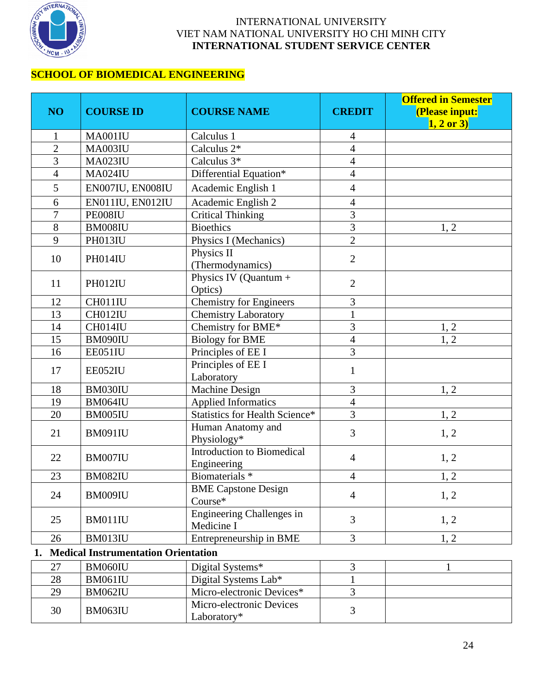

## **SCHOOL OF BIOMEDICAL ENGINEERING**

| NO <sub>1</sub> | <b>COURSE ID</b>                           | <b>COURSE NAME</b>                               | <b>CREDIT</b>            | <b>Offered in Semester</b><br>(Please input:<br>$1, 2 \text{ or } 3$ |
|-----------------|--------------------------------------------|--------------------------------------------------|--------------------------|----------------------------------------------------------------------|
| $\mathbf{1}$    | MA001IU                                    | Calculus 1                                       | $\overline{4}$           |                                                                      |
| $\overline{2}$  | <b>MA003IU</b>                             | Calculus 2*                                      | $\overline{4}$           |                                                                      |
| 3               | <b>MA023IU</b>                             | Calculus 3*                                      | $\overline{4}$           |                                                                      |
| $\overline{4}$  | <b>MA024IU</b>                             | Differential Equation*                           | $\overline{\mathcal{L}}$ |                                                                      |
| 5               | EN007IU, EN008IU                           | Academic English 1                               | $\overline{4}$           |                                                                      |
| 6               | EN011IU, EN012IU                           | Academic English 2                               | $\overline{4}$           |                                                                      |
| $\overline{7}$  | PE008IU                                    | <b>Critical Thinking</b>                         | $\overline{3}$           |                                                                      |
| 8               | BM008IU                                    | <b>Bioethics</b>                                 | $\overline{\mathbf{3}}$  | 1, 2                                                                 |
| 9               | PH013IU                                    | Physics I (Mechanics)                            | $\overline{2}$           |                                                                      |
| 10              | PH014IU                                    | Physics II<br>(Thermodynamics)                   | $\overline{2}$           |                                                                      |
| 11              | PH012IU                                    | Physics IV (Quantum +<br>Optics)                 | $\mathbf{2}$             |                                                                      |
| 12              | CH011IU                                    | Chemistry for Engineers                          | 3                        |                                                                      |
| 13              | CH012IU                                    | <b>Chemistry Laboratory</b>                      | $\mathbf{1}$             |                                                                      |
| 14              | CH014IU                                    | Chemistry for BME*                               | 3                        | 1, 2                                                                 |
| 15              | BM090IU                                    | <b>Biology for BME</b>                           | $\overline{4}$           | 1, 2                                                                 |
| 16              | EE051IU                                    | Principles of EE I                               | $\overline{3}$           |                                                                      |
| 17              | EE052IU                                    | Principles of EE I<br>Laboratory                 | $\mathbf{1}$             |                                                                      |
| 18              | BM030IU                                    | <b>Machine Design</b>                            | 3                        | 1, 2                                                                 |
| 19              | BM064IU                                    | <b>Applied Informatics</b>                       | $\overline{4}$           |                                                                      |
| 20              | BM005IU                                    | <b>Statistics for Health Science*</b>            | $\overline{3}$           | 1, 2                                                                 |
| 21              | <b>BM091IU</b>                             | Human Anatomy and<br>Physiology*                 | 3                        | 1, 2                                                                 |
| 22              | BM007IU                                    | <b>Introduction to Biomedical</b><br>Engineering | $\overline{4}$           | 1, 2                                                                 |
| 23              | <b>BM082IU</b>                             | Biomaterials <sup>*</sup>                        | $\overline{4}$           | 1, 2                                                                 |
| 24              | BM009IU                                    | <b>BME Capstone Design</b><br>Course*            | $\overline{4}$           | 1, 2                                                                 |
| 25              | BM011IU                                    | Engineering Challenges in<br>Medicine I          | 3                        | 1, 2                                                                 |
| 26              | BM013IU                                    | Entrepreneurship in BME                          | 3                        | 1, 2                                                                 |
| 1.              | <b>Medical Instrumentation Orientation</b> |                                                  |                          |                                                                      |
| 27              | BM060IU                                    | Digital Systems*                                 | 3                        |                                                                      |
| 28              | <b>BM061IU</b>                             | Digital Systems Lab*                             |                          |                                                                      |
| 29              | BM062IU                                    | Micro-electronic Devices*                        | $\overline{3}$           |                                                                      |
| 30              | BM063IU                                    | Micro-electronic Devices<br>Laboratory*          | $\overline{3}$           |                                                                      |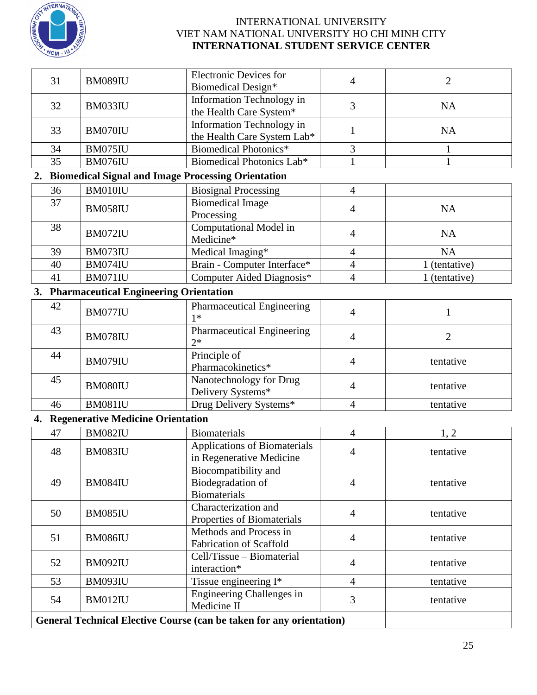

| 31 | <b>BM089IU</b>                                | <b>Electronic Devices for</b><br><b>Biomedical Design*</b>                                   | $\overline{4}$           | $\overline{2}$ |
|----|-----------------------------------------------|----------------------------------------------------------------------------------------------|--------------------------|----------------|
| 32 | BM033IU                                       | Information Technology in<br>the Health Care System*                                         | 3                        | NA             |
| 33 | BM070IU                                       | Information Technology in<br>the Health Care System Lab*                                     | 1                        | NA             |
| 34 | BM075IU                                       | <b>Biomedical Photonics*</b>                                                                 | 3                        | 1              |
| 35 | BM076IU                                       | Biomedical Photonics Lab*                                                                    | 1                        | 1              |
| 2. |                                               | <b>Biomedical Signal and Image Processing Orientation</b>                                    |                          |                |
| 36 | BM010IU                                       | <b>Biosignal Processing</b>                                                                  | $\overline{4}$           |                |
| 37 | <b>BM058IU</b>                                | <b>Biomedical Image</b>                                                                      | $\overline{4}$           | NA             |
| 38 | BM072IU                                       | Processing<br>Computational Model in<br>Medicine*                                            | $\overline{4}$           | NA             |
| 39 | BM073IU                                       | Medical Imaging*                                                                             | $\overline{4}$           | <b>NA</b>      |
| 40 | BM074IU                                       | Brain - Computer Interface*                                                                  | $\overline{\mathcal{L}}$ | 1 (tentative)  |
| 41 | BM071IU                                       | Computer Aided Diagnosis*                                                                    | $\overline{4}$           | 1 (tentative)  |
| 3. | <b>Pharmaceutical Engineering Orientation</b> |                                                                                              |                          |                |
| 42 | BM077IU                                       | <b>Pharmaceutical Engineering</b><br>$1*$                                                    | $\overline{4}$           | 1              |
| 43 | <b>BM078IU</b>                                | <b>Pharmaceutical Engineering</b><br>$2*$                                                    | $\overline{4}$           | $\overline{2}$ |
| 44 | BM079IU                                       | Principle of<br>Pharmacokinetics*                                                            | $\overline{4}$           | tentative      |
| 45 | BM080IU                                       | Nanotechnology for Drug<br>Delivery Systems*                                                 | $\overline{4}$           | tentative      |
| 46 | <b>BM081IU</b>                                | Drug Delivery Systems*                                                                       | $\overline{4}$           | tentative      |
| 4. | <b>Regenerative Medicine Orientation</b>      |                                                                                              |                          |                |
| 47 | <b>BM082IU</b>                                | <b>Biomaterials</b>                                                                          | $\overline{4}$           | 1, 2           |
| 48 | BM083IU                                       | <b>Applications of Biomaterials</b>                                                          | 4                        | tentative      |
| 49 | <b>BM084IU</b>                                | in Regenerative Medicine<br>Biocompatibility and<br>Biodegradation of<br><b>Biomaterials</b> | $\overline{4}$           | tentative      |
| 50 | <b>BM085IU</b>                                | Characterization and<br>Properties of Biomaterials                                           | $\overline{4}$           | tentative      |
| 51 | BM086IU                                       | Methods and Process in<br><b>Fabrication of Scaffold</b>                                     | $\overline{4}$           | tentative      |
| 52 | BM092IU                                       | Cell/Tissue - Biomaterial<br>interaction*                                                    | $\overline{4}$           | tentative      |
| 53 | BM093IU                                       | Tissue engineering $\overline{I^*}$                                                          | $\overline{4}$           | tentative      |
| 54 | BM012IU                                       | Engineering Challenges in<br>Medicine II                                                     | 3                        | tentative      |
|    |                                               | General Technical Elective Course (can be taken for any orientation)                         |                          |                |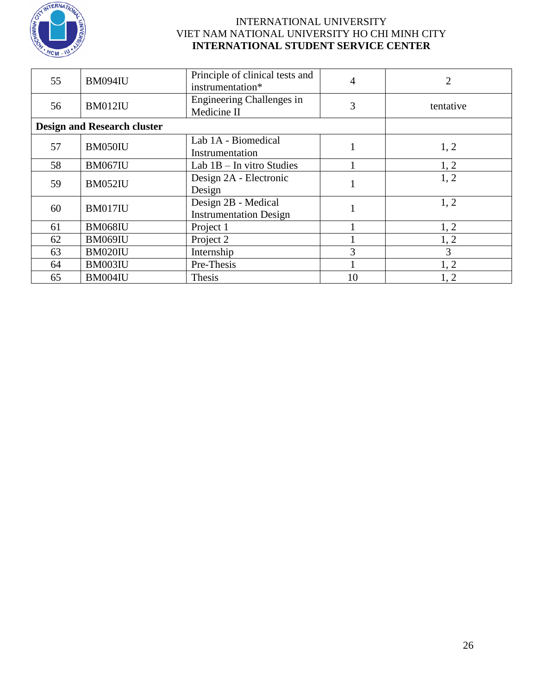

| 55 | BM094IU                            | Principle of clinical tests and<br>instrumentation*  | 4         | $\overline{2}$ |
|----|------------------------------------|------------------------------------------------------|-----------|----------------|
| 56 | <b>BM012IU</b>                     | Engineering Challenges in<br>Medicine II             | tentative |                |
|    | <b>Design and Research cluster</b> |                                                      |           |                |
| 57 | BM050IU                            | Lab 1A - Biomedical<br>Instrumentation               |           | 1, 2           |
| 58 | <b>BM067IU</b>                     | Lab $1B$ – In vitro Studies                          |           | 1, 2           |
| 59 | <b>BM052IU</b>                     | Design 2A - Electronic<br>Design                     |           | 1, 2           |
| 60 | BM017IU                            | Design 2B - Medical<br><b>Instrumentation Design</b> |           | 1, 2           |
| 61 | <b>BM068IU</b>                     | Project 1                                            |           | 1, 2           |
| 62 | BM069IU                            | Project 2                                            |           | 1, 2           |
| 63 | BM020IU                            | Internship                                           | 3         | 3              |
| 64 | BM003IU                            | Pre-Thesis                                           |           | 1, 2           |
| 65 | BM004IU                            | Thesis                                               | 10        | 1, 2           |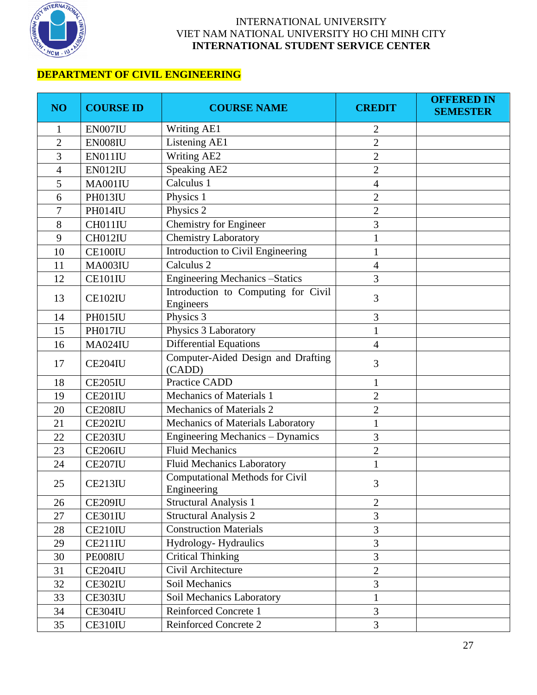

## **DEPARTMENT OF CIVIL ENGINEERING**

| NO <sub>1</sub> | <b>COURSE ID</b> | <b>COURSE NAME</b>                                    | <b>CREDIT</b>  | <b>OFFERED IN</b><br><b>SEMESTER</b> |
|-----------------|------------------|-------------------------------------------------------|----------------|--------------------------------------|
|                 | EN007IU          | Writing AE1                                           | 2              |                                      |
| $\overline{2}$  | EN008IU          | Listening AE1                                         | $\overline{2}$ |                                      |
| 3               | EN011IU          | <b>Writing AE2</b>                                    | $\overline{2}$ |                                      |
| 4               | EN012IU          | <b>Speaking AE2</b>                                   | $\mathbf{2}$   |                                      |
| 5               | MA001IU          | Calculus 1                                            | $\overline{4}$ |                                      |
| 6               | PH013IU          | Physics 1                                             | $\overline{2}$ |                                      |
| 7               | PH014IU          | Physics 2                                             | $\overline{2}$ |                                      |
| 8               | CH011IU          | <b>Chemistry for Engineer</b>                         | 3              |                                      |
| 9               | CH012IU          | <b>Chemistry Laboratory</b>                           | 1              |                                      |
| 10              | CE100IU          | Introduction to Civil Engineering                     | 1              |                                      |
| 11              | MA003IU          | Calculus <sub>2</sub>                                 | $\overline{4}$ |                                      |
| 12              | CE101IU          | <b>Engineering Mechanics - Statics</b>                | 3              |                                      |
| 13              | <b>CE102IU</b>   | Introduction to Computing for Civil<br>Engineers      | 3              |                                      |
| 14              | PH015IU          | Physics 3                                             | 3              |                                      |
| 15              | PH017IU          | Physics 3 Laboratory                                  | 1              |                                      |
| 16              | <b>MA024IU</b>   | <b>Differential Equations</b>                         | $\overline{4}$ |                                      |
| 17              | CE204IU          | Computer-Aided Design and Drafting<br>(CADD)          | 3              |                                      |
| 18              | CE205IU          | <b>Practice CADD</b>                                  |                |                                      |
| 19              | <b>CE201IU</b>   | Mechanics of Materials 1                              | $\overline{2}$ |                                      |
| 20              | <b>CE208IU</b>   | Mechanics of Materials 2                              | $\overline{2}$ |                                      |
| 21              | <b>CE202IU</b>   | Mechanics of Materials Laboratory                     | 1              |                                      |
| 22              | CE203IU          | Engineering Mechanics - Dynamics                      | 3              |                                      |
| 23              | <b>CE206IU</b>   | <b>Fluid Mechanics</b>                                | $\overline{2}$ |                                      |
| 24              | <b>CE207IU</b>   | <b>Fluid Mechanics Laboratory</b>                     | 1              |                                      |
| 25              | CE213IU          | <b>Computational Methods for Civil</b><br>Engineering | 3              |                                      |
| 26              | <b>CE209IU</b>   | <b>Structural Analysis 1</b>                          | $\overline{2}$ |                                      |
| 27              | CE301IU          | <b>Structural Analysis 2</b>                          | 3              |                                      |
| 28              | CE210IU          | <b>Construction Materials</b>                         | 3              |                                      |
| 29              | <b>CE211IU</b>   | Hydrology-Hydraulics                                  | 3              |                                      |
| 30              | PE008IU          | <b>Critical Thinking</b>                              | 3              |                                      |
| 31              | CE204IU          | Civil Architecture                                    | $\overline{2}$ |                                      |
| 32              | CE302IU          | Soil Mechanics                                        | 3              |                                      |
| 33              | CE303IU          | Soil Mechanics Laboratory                             | 1              |                                      |
| 34              | CE304IU          | Reinforced Concrete 1                                 | 3              |                                      |
| 35              | CE310IU          | Reinforced Concrete 2                                 | 3              |                                      |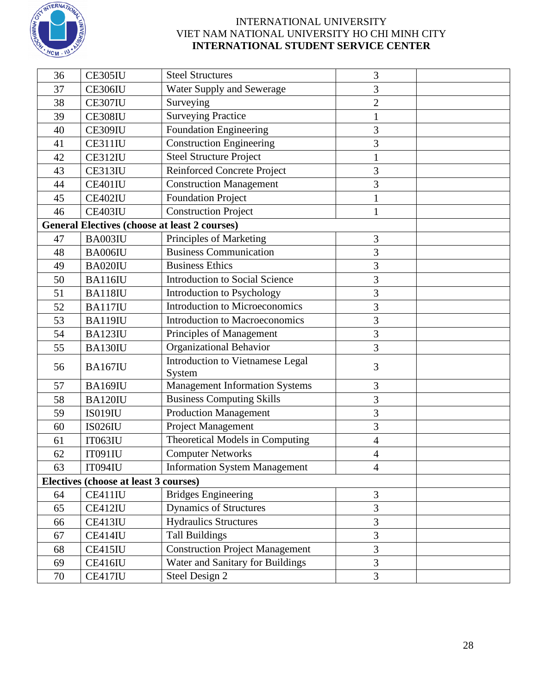

| 36 | CE305IU                                              | <b>Steel Structures</b>                    | 3              |  |
|----|------------------------------------------------------|--------------------------------------------|----------------|--|
| 37 | CE306IU                                              | Water Supply and Sewerage                  | 3              |  |
| 38 | CE307IU                                              | Surveying<br>$\overline{2}$                |                |  |
| 39 | CE308IU                                              | <b>Surveying Practice</b>                  | 1              |  |
| 40 | CE309IU                                              | <b>Foundation Engineering</b>              | 3              |  |
| 41 | <b>CE311IU</b>                                       | <b>Construction Engineering</b>            | 3              |  |
| 42 | CE312IU                                              | <b>Steel Structure Project</b>             | $\mathbf{1}$   |  |
| 43 | CE313IU                                              | <b>Reinforced Concrete Project</b>         | 3              |  |
| 44 | CE401IU                                              | <b>Construction Management</b>             | 3              |  |
| 45 | CE402IU                                              | <b>Foundation Project</b>                  | 1              |  |
| 46 | CE403IU                                              | <b>Construction Project</b>                | 1              |  |
|    | <b>General Electives (choose at least 2 courses)</b> |                                            |                |  |
| 47 | BA003IU                                              | Principles of Marketing                    | $\mathfrak{Z}$ |  |
| 48 | BA006IU                                              | <b>Business Communication</b>              | 3              |  |
| 49 | BA020IU                                              | <b>Business Ethics</b>                     | 3              |  |
| 50 | <b>BA116IU</b>                                       | <b>Introduction to Social Science</b>      | 3              |  |
| 51 | <b>BA118IU</b>                                       | Introduction to Psychology                 | 3              |  |
| 52 | BA117IU                                              | <b>Introduction to Microeconomics</b>      | 3              |  |
| 53 | <b>BA119IU</b>                                       | <b>Introduction to Macroeconomics</b>      | 3              |  |
| 54 | BA123IU                                              | Principles of Management                   | 3              |  |
| 55 | BA130IU                                              | Organizational Behavior                    | 3              |  |
| 56 | <b>BA167IU</b>                                       | Introduction to Vietnamese Legal<br>System | 3              |  |
| 57 | <b>BA169IU</b>                                       | <b>Management Information Systems</b>      | 3              |  |
| 58 | <b>BA120IU</b>                                       | <b>Business Computing Skills</b>           | 3              |  |
| 59 | <b>IS019IU</b>                                       | <b>Production Management</b>               | 3              |  |
| 60 | <b>IS026IU</b>                                       | Project Management                         | 3              |  |
| 61 | <b>IT063IU</b>                                       | Theoretical Models in Computing            | 4              |  |
| 62 | <b>IT091IU</b>                                       | <b>Computer Networks</b>                   | $\overline{4}$ |  |
| 63 | <b>IT094IU</b>                                       | <b>Information System Management</b>       | $\overline{4}$ |  |
|    | Electives (choose at least 3 courses)                |                                            |                |  |
| 64 | CE411IU                                              | <b>Bridges Engineering</b>                 | 3              |  |
| 65 | CE412IU                                              | Dynamics of Structures                     | 3              |  |
| 66 | CE413IU                                              | <b>Hydraulics Structures</b>               | 3              |  |
| 67 | CE414IU                                              | <b>Tall Buildings</b>                      | 3              |  |
| 68 | CE415IU                                              | <b>Construction Project Management</b>     | 3              |  |
| 69 | CE416IU                                              | Water and Sanitary for Buildings           | 3              |  |
| 70 | CE417IU                                              | Steel Design 2                             | 3              |  |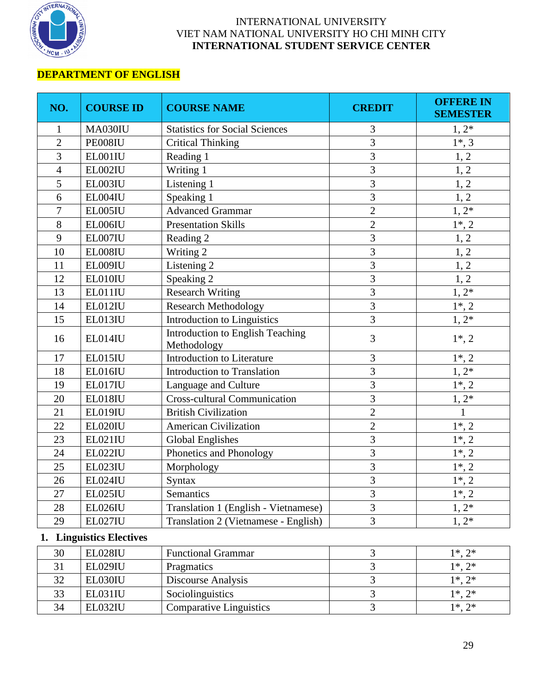

# **DEPARTMENT OF ENGLISH**

| NO.            | <b>COURSE ID</b>         | <b>COURSE NAME</b>                                     | <b>CREDIT</b>  | <b>OFFERE IN</b><br><b>SEMESTER</b> |
|----------------|--------------------------|--------------------------------------------------------|----------------|-------------------------------------|
| $\mathbf{1}$   | MA030IU                  | <b>Statistics for Social Sciences</b>                  | 3              | $1, 2^*$                            |
| $\overline{2}$ | PE008IU                  | <b>Critical Thinking</b>                               | 3              | $1^*, 3$                            |
| 3              | EL001IU                  | Reading 1                                              | 3              | 1, 2                                |
| $\overline{4}$ | EL002IU                  | Writing 1                                              | 3              | 1, 2                                |
| 5              | EL003IU                  | Listening 1                                            | 3              | 1, 2                                |
| 6              | EL004IU                  | Speaking 1                                             | 3              | 1, 2                                |
| 7              | EL005IU                  | <b>Advanced Grammar</b>                                | $\overline{2}$ | $1, 2^*$                            |
| 8              | EL006IU                  | <b>Presentation Skills</b>                             | $\overline{2}$ | $1^*, 2$                            |
| 9              | EL007IU                  | Reading 2                                              | 3              | 1, 2                                |
| 10             | EL008IU                  | Writing 2                                              | 3              | 1, 2                                |
| 11             | EL009IU                  | Listening 2                                            | 3              | 1, 2                                |
| 12             | EL010IU                  | Speaking 2                                             | 3              | 1, 2                                |
| 13             | EL011IU                  | <b>Research Writing</b>                                | 3              | $1, 2^*$                            |
| 14             | EL012IU                  | <b>Research Methodology</b>                            | 3              | $1^*$ , 2                           |
| 15             | EL013IU                  | <b>Introduction to Linguistics</b>                     | 3              | $1, 2*$                             |
| 16             | EL014IU                  | <b>Introduction to English Teaching</b><br>Methodology | 3              | $1^*, 2$                            |
| 17             | EL015IU                  | Introduction to Literature                             | 3              | $1*, 2$                             |
| 18             | EL016IU                  | Introduction to Translation                            | 3              | $1, 2*$                             |
| 19             | EL017IU                  | Language and Culture                                   | 3              | $1^*$ , 2                           |
| 20             | EL018IU                  | <b>Cross-cultural Communication</b>                    | 3              | $1, 2^*$                            |
| 21             | EL019IU                  | <b>British Civilization</b>                            | $\overline{c}$ | $\mathbf{1}$                        |
| 22             | EL020IU                  | <b>American Civilization</b>                           | $\overline{2}$ | $1^*$ , 2                           |
| 23             | <b>EL021IU</b>           | <b>Global Englishes</b>                                | 3              | $1^*$ , 2                           |
| 24             | EL022IU                  | Phonetics and Phonology                                | 3              | $1^*, 2$                            |
| 25             | EL023IU                  | Morphology                                             | 3              | $1^*$ , 2                           |
| 26             | EL024IU                  | Syntax                                                 | 3              | $1^*, 2$                            |
| 27             | EL025IU                  | Semantics                                              | 3              | $1*, 2$                             |
| 28             | EL026IU                  | Translation 1 (English - Vietnamese)                   | 3              | $1, 2^*$                            |
| 29             | EL027IU                  | Translation 2 (Vietnamese - English)                   | 3              | $1, 2^*$                            |
|                | 1. Linguistics Electives |                                                        |                |                                     |
| 30             | EL028IU                  | <b>Functional Grammar</b>                              | 3              | $1^*, 2^*$                          |
| 31             | <b>EL029IU</b>           | Pragmatics                                             | $\overline{3}$ | $1^*, 2^*$                          |
| 32             | EL030IU                  | Discourse Analysis                                     | 3              | $1^*, 2^*$                          |
| 33             | EL031IU                  | Sociolinguistics                                       | $\overline{3}$ | $1^*, 2^*$                          |

 EL031IU Sociolinguistics 3 1\*, 2\* 34 EL032IU Comparative Linguistics 3 1\*, 2\*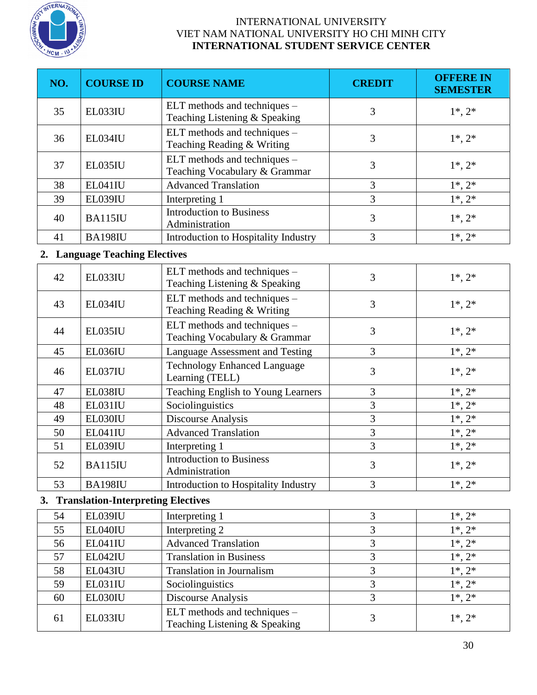

| NO. | <b>COURSE ID</b>                          | <b>COURSE NAME</b>                                            | <b>CREDIT</b>  | <b>OFFERE IN</b><br><b>SEMESTER</b> |
|-----|-------------------------------------------|---------------------------------------------------------------|----------------|-------------------------------------|
| 35  | EL033IU                                   | ELT methods and techniques -<br>Teaching Listening & Speaking | 3              | $1^*, 2^*$                          |
| 36  | EL034IU                                   | ELT methods and techniques -<br>Teaching Reading & Writing    | 3              | $1^*, 2^*$                          |
| 37  | EL035IU                                   | ELT methods and techniques -<br>Teaching Vocabulary & Grammar | 3              | $1^*, 2^*$                          |
| 38  | EL041IU                                   | <b>Advanced Translation</b>                                   | 3              | $1^*, 2^*$                          |
| 39  | EL039IU                                   | Interpreting 1                                                | 3              | $1^*, 2^*$                          |
| 40  | <b>BA115IU</b>                            | <b>Introduction to Business</b><br>Administration             | 3              | $1^*, 2^*$                          |
| 41  | <b>BA198IU</b>                            | Introduction to Hospitality Industry                          | 3              | $1^*, 2^*$                          |
|     | <b>Language Teaching Electives</b>        |                                                               |                |                                     |
| 42  | EL033IU                                   | ELT methods and techniques -<br>Teaching Listening & Speaking | 3              | $1^*, 2^*$                          |
| 43  | EL034IU                                   | ELT methods and techniques -<br>Teaching Reading & Writing    | 3              | $1^*, 2^*$                          |
| 44  | EL035IU                                   | ELT methods and techniques -<br>Teaching Vocabulary & Grammar | 3              | $1^*, 2^*$                          |
| 45  | EL036IU                                   | Language Assessment and Testing                               | 3              |                                     |
| 46  | EL037IU                                   | <b>Technology Enhanced Language</b><br>Learning (TELL)        | 3              | $1^*, 2^*$                          |
| 47  | EL038IU                                   | Teaching English to Young Learners                            | 3              | $1^*, 2^*$                          |
| 48  | EL031IU                                   | Sociolinguistics                                              | $\overline{3}$ | $1^*, 2^*$                          |
| 49  | EL030IU                                   | <b>Discourse Analysis</b>                                     | 3              | $1^*, 2^*$                          |
| 50  | EL041IU                                   | <b>Advanced Translation</b>                                   | 3              | $1^*, 2^*$                          |
| 51  | EL039IU                                   | Interpreting 1                                                | 3              | $1^*, 2^*$                          |
| 52  | BA115IU                                   | <b>Introduction to Business</b><br>Administration             | 3              | $1^*, 2^*$                          |
| 53  | <b>BA198IU</b>                            | Introduction to Hospitality Industry                          | 3              | $1^*, 2^*$                          |
| 3.  | <b>Translation-Interpreting Electives</b> |                                                               |                |                                     |
| 54  | EL039IU                                   | Interpreting 1                                                | 3              | $1^*, 2^*$                          |
| 55  | EL040IU                                   | Interpreting 2                                                | 3              | $1^*, 2^*$                          |
| 56  | EL041IU                                   | <b>Advanced Translation</b>                                   | 3              | $1^*, 2^*$                          |
| 57  | EL042IU                                   | <b>Translation in Business</b>                                | 3              | $1^*, 2^*$                          |
| 58  | EL043IU                                   | <b>Translation in Journalism</b>                              | 3              | $1^*, 2^*$                          |
| 59  | EL031IU                                   | Sociolinguistics                                              | 3              | $1^*, 2^*$                          |
| 60  | EL030IU                                   | Discourse Analysis                                            | 3              | $1^*, 2^*$                          |
| 61  | EL033IU                                   | ELT methods and techniques -<br>Teaching Listening & Speaking | 3              | $1^*, 2^*$                          |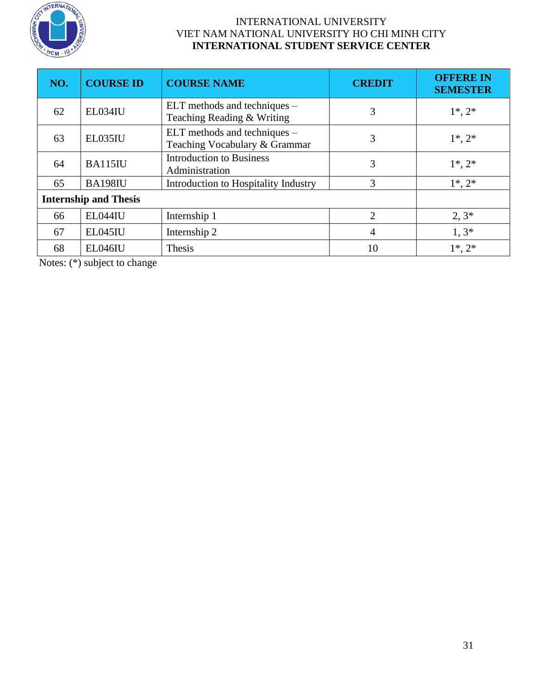

| NO.                          | <b>COURSE ID</b> | <b>COURSE NAME</b>                                              | <b>CREDIT</b>  | <b>OFFERE IN</b><br><b>SEMESTER</b> |
|------------------------------|------------------|-----------------------------------------------------------------|----------------|-------------------------------------|
| 62                           | EL034IU          | ELT methods and techniques –<br>3<br>Teaching Reading & Writing |                | $1^*, 2^*$                          |
| 63                           | EL035IU          | ELT methods and techniques –<br>Teaching Vocabulary & Grammar   | $1^*, 2^*$     |                                     |
| 64                           | <b>BA115IU</b>   | <b>Introduction to Business</b><br>Administration               | 3              |                                     |
| 65                           | <b>BA198IU</b>   | Introduction to Hospitality Industry                            | 3              | $1^*, 2^*$                          |
| <b>Internship and Thesis</b> |                  |                                                                 |                |                                     |
| 66                           | EL044IU          | Internship 1                                                    | $\overline{2}$ | $2, 3*$                             |
| 67                           | EL045IU          | Internship 2                                                    | 4              | $1,3*$                              |
| 68                           | EL046IU          | Thesis                                                          | 10             | $1^*, 2^*$                          |

Notes: (\*) subject to change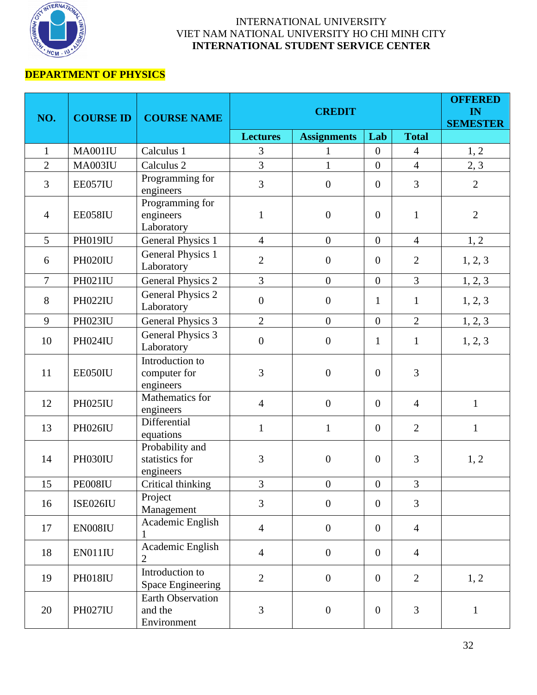

# **DEPARTMENT OF PHYSICS**

| NO.            | <b>COURSE ID</b> | <b>COURSE NAME</b>                                 |                  | <b>CREDIT</b>      |                  |                | <b>OFFERED</b><br>IN<br><b>SEMESTER</b> |
|----------------|------------------|----------------------------------------------------|------------------|--------------------|------------------|----------------|-----------------------------------------|
|                |                  |                                                    | <b>Lectures</b>  | <b>Assignments</b> | Lab              | <b>Total</b>   |                                         |
| $\mathbf{1}$   | <b>MA001IU</b>   | Calculus 1                                         | 3                | $\mathbf{1}$       | $\mathbf{0}$     | $\overline{4}$ | 1, 2                                    |
| $\overline{2}$ | <b>MA003IU</b>   | Calculus <sub>2</sub>                              | $\overline{3}$   | $\mathbf{1}$       | $\mathbf{0}$     | $\overline{4}$ | 2, 3                                    |
| 3              | EE057IU          | Programming for<br>engineers                       | 3                | $\boldsymbol{0}$   | $\mathbf{0}$     | 3              | $\overline{2}$                          |
| $\overline{4}$ | EE058IU          | Programming for<br>engineers<br>Laboratory         | $\mathbf{1}$     | $\overline{0}$     | $\mathbf{0}$     | $\mathbf{1}$   | $\overline{2}$                          |
| 5              | <b>PH019IU</b>   | <b>General Physics 1</b>                           | $\overline{4}$   | $\boldsymbol{0}$   | $\boldsymbol{0}$ | $\overline{4}$ | 1, 2                                    |
| 6              | PH020IU          | <b>General Physics 1</b><br>Laboratory             | $\overline{2}$   | $\boldsymbol{0}$   | $\mathbf{0}$     | $\overline{2}$ | 1, 2, 3                                 |
| $\overline{7}$ | PH021IU          | <b>General Physics 2</b>                           | 3                | $\boldsymbol{0}$   | $\mathbf{0}$     | 3              | 1, 2, 3                                 |
| 8              | <b>PH022IU</b>   | <b>General Physics 2</b><br>Laboratory             | $\boldsymbol{0}$ | $\boldsymbol{0}$   | $\mathbf{1}$     | $\mathbf{1}$   | 1, 2, 3                                 |
| 9              | <b>PH023IU</b>   | <b>General Physics 3</b>                           | $\overline{2}$   | $\boldsymbol{0}$   | $\boldsymbol{0}$ | $\overline{2}$ | 1, 2, 3                                 |
| 10             | <b>PH024IU</b>   | <b>General Physics 3</b><br>Laboratory             | $\boldsymbol{0}$ | $\boldsymbol{0}$   | $\mathbf{1}$     | $\mathbf{1}$   | 1, 2, 3                                 |
| 11             | EE050IU          | Introduction to<br>computer for<br>engineers       | $\overline{3}$   | $\overline{0}$     | $\mathbf{0}$     | 3              |                                         |
| 12             | <b>PH025IU</b>   | Mathematics for<br>engineers                       | $\overline{4}$   | $\overline{0}$     | $\mathbf{0}$     | $\overline{4}$ | $\mathbf{1}$                            |
| 13             | <b>PH026IU</b>   | Differential<br>equations                          | $\mathbf{1}$     | $\mathbf{1}$       | $\mathbf{0}$     | $\overline{2}$ | $\mathbf{1}$                            |
| 14             | PH030IU          | Probability and<br>statistics for<br>engineers     | 3                | $\boldsymbol{0}$   | $\mathbf{0}$     | $\mathfrak{Z}$ | 1, 2                                    |
| 15             | PE008IU          | Critical thinking                                  | $\overline{3}$   | $\overline{0}$     | $\mathbf{0}$     | $\overline{3}$ |                                         |
| 16             | ISE026IU         | Project<br>Management                              | 3                | $\overline{0}$     | $\overline{0}$   | 3              |                                         |
| 17             | EN008IU          | Academic English                                   | $\overline{4}$   | $\boldsymbol{0}$   | $\mathbf{0}$     | $\overline{4}$ |                                         |
| 18             | EN011IU          | Academic English                                   | $\overline{4}$   | $\overline{0}$     | $\mathbf{0}$     | $\overline{4}$ |                                         |
| 19             | PH018IU          | Introduction to<br><b>Space Engineering</b>        | $\overline{2}$   | $\boldsymbol{0}$   | $\mathbf{0}$     | $\overline{2}$ | 1, 2                                    |
| 20             | <b>PH027IU</b>   | <b>Earth Observation</b><br>and the<br>Environment | 3                | $\boldsymbol{0}$   | $\boldsymbol{0}$ | 3              | $\mathbf{1}$                            |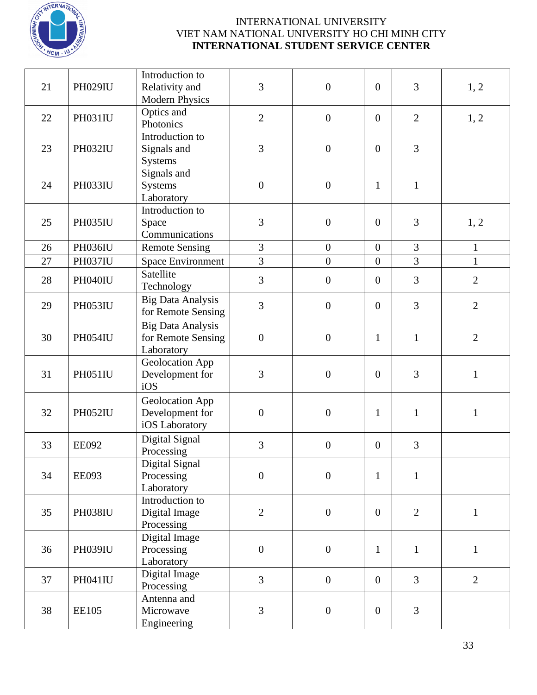

| 21 | <b>PH029IU</b>                                                                                          | Introduction to<br>Relativity and<br><b>Modern Physics</b>   | 3                | $\boldsymbol{0}$ | $\boldsymbol{0}$ | 3              | 1, 2           |
|----|---------------------------------------------------------------------------------------------------------|--------------------------------------------------------------|------------------|------------------|------------------|----------------|----------------|
| 22 | <b>PH031IU</b>                                                                                          | Optics and<br>Photonics                                      | $\overline{2}$   | $\boldsymbol{0}$ | $\boldsymbol{0}$ | $\overline{2}$ | 1, 2           |
| 23 | <b>PH032IU</b>                                                                                          | Introduction to<br>Signals and<br>Systems                    | 3                | $\overline{0}$   | $\boldsymbol{0}$ | 3              |                |
| 24 | PH033IU                                                                                                 | Signals and<br>Systems<br>Laboratory                         | $\boldsymbol{0}$ | $\boldsymbol{0}$ | $\mathbf{1}$     | $\mathbf{1}$   |                |
| 25 | <b>PH035IU</b>                                                                                          | Introduction to<br>Space<br>Communications                   | 3                | $\overline{0}$   | $\boldsymbol{0}$ | 3              | 1, 2           |
| 26 | <b>PH036IU</b>                                                                                          | <b>Remote Sensing</b>                                        | $\mathfrak{Z}$   | $\boldsymbol{0}$ | $\overline{0}$   | 3              | $\mathbf{1}$   |
| 27 | <b>PH037IU</b>                                                                                          | <b>Space Environment</b>                                     | 3                | $\overline{0}$   | $\boldsymbol{0}$ | $\overline{3}$ | $\mathbf{1}$   |
| 28 | PH040IU                                                                                                 | Satellite<br>Technology                                      | 3                | $\boldsymbol{0}$ | $\boldsymbol{0}$ | 3              | $\overline{2}$ |
| 29 | PH053IU                                                                                                 | <b>Big Data Analysis</b><br>for Remote Sensing               | 3                | $\boldsymbol{0}$ | $\overline{0}$   | 3              | $\overline{2}$ |
| 30 | <b>PH054IU</b>                                                                                          | <b>Big Data Analysis</b><br>for Remote Sensing<br>Laboratory | $\boldsymbol{0}$ | $\overline{0}$   | $\mathbf{1}$     | $\mathbf{1}$   | $\overline{2}$ |
| 31 | PH051IU                                                                                                 | Geolocation App<br>Development for<br>iOS                    | 3                | $\boldsymbol{0}$ | $\boldsymbol{0}$ | 3              | $\mathbf{1}$   |
| 32 | Geolocation App<br>PH052IU<br>$\boldsymbol{0}$<br>$\boldsymbol{0}$<br>Development for<br>iOS Laboratory |                                                              |                  | $\mathbf{1}$     | $\mathbf{1}$     | $\mathbf{1}$   |                |
| 33 | <b>EE092</b>                                                                                            | Digital Signal<br>Processing                                 | 3                | $\boldsymbol{0}$ | $\boldsymbol{0}$ | 3              |                |
| 34 | <b>EE093</b>                                                                                            | Digital Signal<br>Processing<br>Laboratory                   | $\boldsymbol{0}$ | $\mathbf{0}$     | $\mathbf{1}$     | $\mathbf{1}$   |                |
| 35 | <b>PH038IU</b>                                                                                          | Introduction to<br>Digital Image<br>Processing               | $\overline{2}$   | $\overline{0}$   | $\boldsymbol{0}$ | $\overline{2}$ | $\mathbf{1}$   |
| 36 | <b>PH039IU</b>                                                                                          | Digital Image<br>Processing<br>Laboratory                    | $\boldsymbol{0}$ | $\boldsymbol{0}$ | $\mathbf{1}$     | $\mathbf{1}$   | $\mathbf{1}$   |
| 37 | PH041IU                                                                                                 | Digital Image<br>Processing                                  | $\overline{3}$   | $\overline{0}$   | $\overline{0}$   | $\overline{3}$ | $\overline{2}$ |
| 38 | <b>EE105</b>                                                                                            | Antenna and<br>Microwave<br>Engineering                      | 3                | $\boldsymbol{0}$ | $\boldsymbol{0}$ | 3              |                |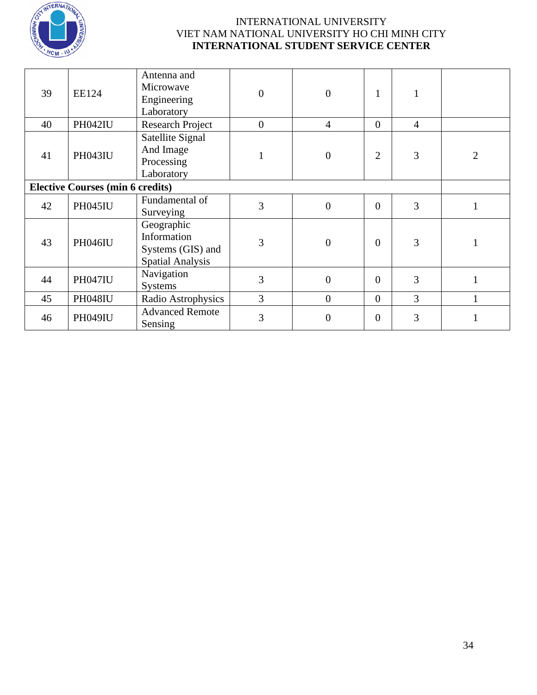

| 39                                      | <b>EE124</b>   | Antenna and<br>Microwave<br>Engineering<br>Laboratory                     | $\boldsymbol{0}$ | $\overline{0}$ | 1              |                |                |
|-----------------------------------------|----------------|---------------------------------------------------------------------------|------------------|----------------|----------------|----------------|----------------|
| 40                                      | <b>PH042IU</b> | <b>Research Project</b>                                                   | $\boldsymbol{0}$ | $\overline{4}$ | $\overline{0}$ | $\overline{4}$ |                |
| 41                                      | <b>PH043IU</b> | Satellite Signal<br>And Image<br>Processing<br>Laboratory                 |                  | $\overline{0}$ | $\overline{2}$ | 3              | $\overline{2}$ |
| <b>Elective Courses (min 6 credits)</b> |                |                                                                           |                  |                |                |                |                |
| 42                                      | <b>PH045IU</b> | Fundamental of<br>Surveying                                               | 3                | $\overline{0}$ | $\overline{0}$ | 3              | 1              |
| 43                                      | <b>PH046IU</b> | Geographic<br>Information<br>Systems (GIS) and<br><b>Spatial Analysis</b> | 3                | $\overline{0}$ | $\overline{0}$ | 3              |                |
| 44                                      | <b>PH047IU</b> | Navigation<br><b>Systems</b>                                              | 3                | $\overline{0}$ | $\theta$       | 3              |                |
| 45                                      | <b>PH048IU</b> | Radio Astrophysics                                                        | 3                | $\overline{0}$ | $\overline{0}$ | 3              |                |
| 46                                      | <b>PH049IU</b> | <b>Advanced Remote</b><br>Sensing                                         | 3                | $\overline{0}$ | $\overline{0}$ | 3              |                |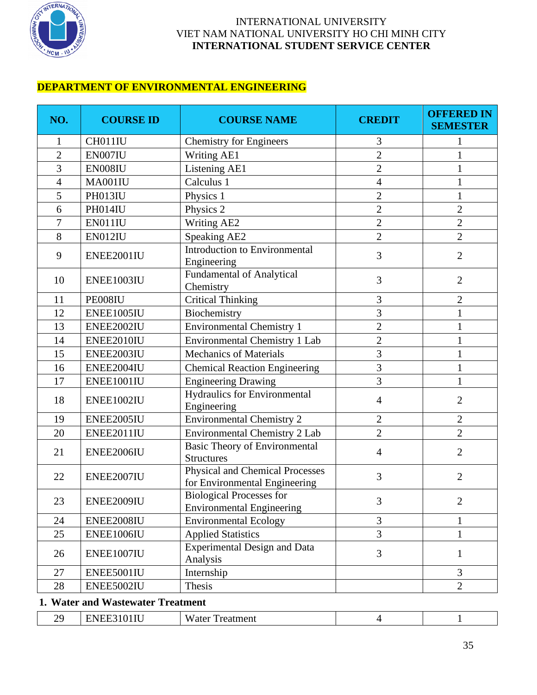

## **DEPARTMENT OF ENVIRONMENTAL ENGINEERING**

| NO.            | <b>COURSE ID</b> | <b>COURSE NAME</b>                                                      | <b>CREDIT</b>  | <b>OFFERED IN</b><br><b>SEMESTER</b> |
|----------------|------------------|-------------------------------------------------------------------------|----------------|--------------------------------------|
| 1              | CH011IU          | <b>Chemistry for Engineers</b>                                          | 3              | 1                                    |
| $\overline{2}$ | EN007IU          | Writing AE1                                                             | $\overline{2}$ | 1                                    |
| 3              | EN008IU          | Listening AE1                                                           | $\overline{2}$ | 1                                    |
| 4              | MA001IU          | Calculus 1                                                              | $\overline{4}$ | $\mathbf{1}$                         |
| 5              | PH013IU          | Physics 1                                                               | $\overline{2}$ | $\mathbf{1}$                         |
| 6              | PH014IU          | Physics 2                                                               | $\overline{2}$ | $\overline{2}$                       |
| $\overline{7}$ | EN011IU          | Writing AE2                                                             | $\overline{2}$ | $\overline{2}$                       |
| $8\,$          | EN012IU          | Speaking AE2                                                            | $\overline{2}$ | $\overline{2}$                       |
| 9              | ENEE2001IU       | Introduction to Environmental<br>Engineering                            | 3              | $\overline{2}$                       |
| 10             | ENEE1003IU       | <b>Fundamental of Analytical</b><br>Chemistry                           | 3              | $\overline{2}$                       |
| 11             | PE008IU          | <b>Critical Thinking</b>                                                | 3              | $\overline{2}$                       |
| 12             | ENEE1005IU       | Biochemistry                                                            | 3              | 1                                    |
| 13             | ENEE2002IU       | <b>Environmental Chemistry 1</b>                                        | $\overline{c}$ | 1                                    |
| 14             | ENEE2010IU       | Environmental Chemistry 1 Lab                                           | $\overline{2}$ | $\mathbf{1}$                         |
| 15             | ENEE2003IU       | Mechanics of Materials                                                  | 3              | 1                                    |
| 16             | ENEE2004IU       | <b>Chemical Reaction Engineering</b>                                    | $\overline{3}$ | $\mathbf{1}$                         |
| 17             | ENEE1001IU       | <b>Engineering Drawing</b>                                              | 3              | 1                                    |
| 18             | ENEE1002IU       | Hydraulics for Environmental<br>Engineering                             | $\overline{4}$ | $\overline{2}$                       |
| 19             | ENEE2005IU       | <b>Environmental Chemistry 2</b>                                        | $\overline{2}$ | $\overline{2}$                       |
| 20             | ENEE2011IU       | Environmental Chemistry 2 Lab                                           | $\overline{2}$ | $\overline{2}$                       |
| 21             | ENEE2006IU       | <b>Basic Theory of Environmental</b><br><b>Structures</b>               | $\overline{4}$ | $\overline{2}$                       |
| 22             | ENEE2007IU       | <b>Physical and Chemical Processes</b><br>for Environmental Engineering | 3              | $\overline{2}$                       |
| 23             | ENEE2009IU       | <b>Biological Processes for</b><br><b>Environmental Engineering</b>     | 3              | $\overline{2}$                       |
| 24             | ENEE2008IU       | <b>Environmental Ecology</b>                                            | $\overline{3}$ | 1                                    |
| 25             | ENEE1006IU       | <b>Applied Statistics</b>                                               | $\overline{3}$ | $\mathbf{1}$                         |
| 26             | ENEE1007IU       | <b>Experimental Design and Data</b><br>Analysis                         | 3              | $\mathbf{1}$                         |
| 27             | ENEE5001IU       | Internship                                                              |                | 3                                    |
| 28             | ENEE5002IU       | Thesis                                                                  |                | $\overline{2}$                       |

#### **1. Water and Wastewater Treatment**

| $- -$<br>$\sim$<br>71<br>$\mathbf{v}$<br>__<br>$\overline{\phantom{a}}$ |
|-------------------------------------------------------------------------|
|-------------------------------------------------------------------------|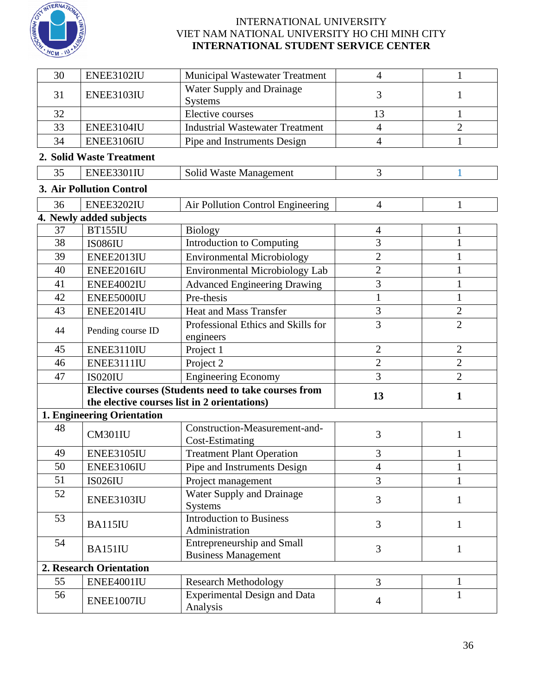

| 30 | ENEE3102IU                      | <b>Municipal Wastewater Treatment</b>                           | $\overline{4}$ | $\mathbf{1}$   |  |
|----|---------------------------------|-----------------------------------------------------------------|----------------|----------------|--|
| 31 | ENEE3103IU                      | Water Supply and Drainage<br><b>Systems</b>                     | 1              |                |  |
| 32 |                                 | <b>Elective courses</b>                                         | 13             | $\mathbf{1}$   |  |
| 33 | ENEE3104IU                      | <b>Industrial Wastewater Treatment</b>                          | $\overline{4}$ | $\overline{2}$ |  |
| 34 | ENEE3106IU                      | Pipe and Instruments Design                                     | $\overline{4}$ | $\mathbf{1}$   |  |
|    | 2. Solid Waste Treatment        |                                                                 |                |                |  |
| 35 | ENEE3301IU                      | 3                                                               | 1              |                |  |
|    | <b>3. Air Pollution Control</b> |                                                                 |                |                |  |
| 36 | ENEE3202IU                      | $\overline{4}$                                                  | $\mathbf{1}$   |                |  |
|    | 4. Newly added subjects         | Air Pollution Control Engineering                               |                |                |  |
| 37 | <b>BT155IU</b>                  | <b>Biology</b>                                                  | 4              | 1              |  |
| 38 | <b>IS086IU</b>                  | <b>Introduction to Computing</b>                                | 3              | $\mathbf{1}$   |  |
| 39 | ENEE2013IU                      | <b>Environmental Microbiology</b>                               | $\overline{2}$ | $\mathbf{1}$   |  |
| 40 | ENEE2016IU                      | <b>Environmental Microbiology Lab</b>                           | $\overline{2}$ | $\mathbf{1}$   |  |
| 41 | ENEE4002IU                      | <b>Advanced Engineering Drawing</b>                             | 3              | $\mathbf{1}$   |  |
| 42 | ENEE5000IU                      | Pre-thesis                                                      | $\mathbf{1}$   | $\mathbf{1}$   |  |
| 43 | ENEE2014IU                      | <b>Heat and Mass Transfer</b>                                   | $\mathfrak{Z}$ | $\overline{2}$ |  |
| 44 | Pending course ID               | Professional Ethics and Skills for<br>engineers                 | 3              | $\overline{2}$ |  |
| 45 | ENEE3110IU                      | Project 1                                                       | $\overline{2}$ | $\mathbf{2}$   |  |
| 46 | ENEE3111IU                      | Project 2                                                       | $\overline{2}$ | $\overline{2}$ |  |
| 47 | <b>IS020IU</b>                  | <b>Engineering Economy</b>                                      | 3              | $\overline{2}$ |  |
|    |                                 | Elective courses (Students need to take courses from            | 13             | 1              |  |
|    |                                 | the elective courses list in 2 orientations)                    |                |                |  |
|    | 1. Engineering Orientation      |                                                                 |                |                |  |
| 48 | CM301IU                         | Construction-Measurement-and-<br><b>Cost-Estimating</b>         | 3              | $\mathbf{1}$   |  |
| 49 | ENEE3105IU                      | <b>Treatment Plant Operation</b>                                | 3              | $\mathbf 1$    |  |
| 50 | ENEE3106IU                      | Pipe and Instruments Design                                     | $\overline{4}$ | 1              |  |
| 51 | <b>IS026IU</b>                  | Project management                                              | 3              | $\mathbf{1}$   |  |
| 52 | ENEE3103IU                      | Water Supply and Drainage<br><b>Systems</b>                     | 3              | 1              |  |
| 53 | <b>BA115IU</b>                  | <b>Introduction to Business</b><br>3<br>Administration          |                | 1              |  |
| 54 | BA151IU                         | <b>Entrepreneurship and Small</b><br><b>Business Management</b> | 3              | 1              |  |
|    | <b>2. Research Orientation</b>  |                                                                 |                |                |  |
| 55 | ENEE4001IU                      | <b>Research Methodology</b>                                     | $\overline{3}$ | $\mathbf{1}$   |  |
| 56 | ENEE1007IU                      | <b>Experimental Design and Data</b><br>Analysis                 | $\overline{4}$ | $\mathbf{1}$   |  |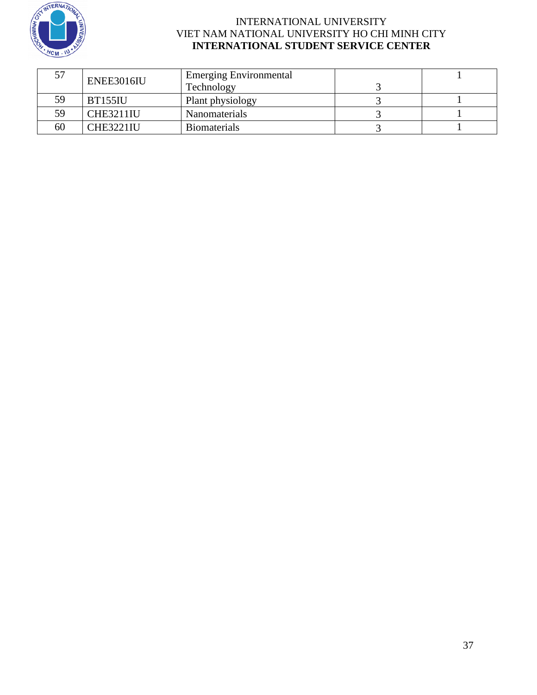

|     | ENEE3016IU       | <b>Emerging Environmental</b> |  |
|-----|------------------|-------------------------------|--|
|     |                  | Technology                    |  |
| 59  | <b>BT155IU</b>   | Plant physiology              |  |
| 59. | <b>CHE3211IU</b> | Nanomaterials                 |  |
| 60  | <b>CHE3221IU</b> | <b>Biomaterials</b>           |  |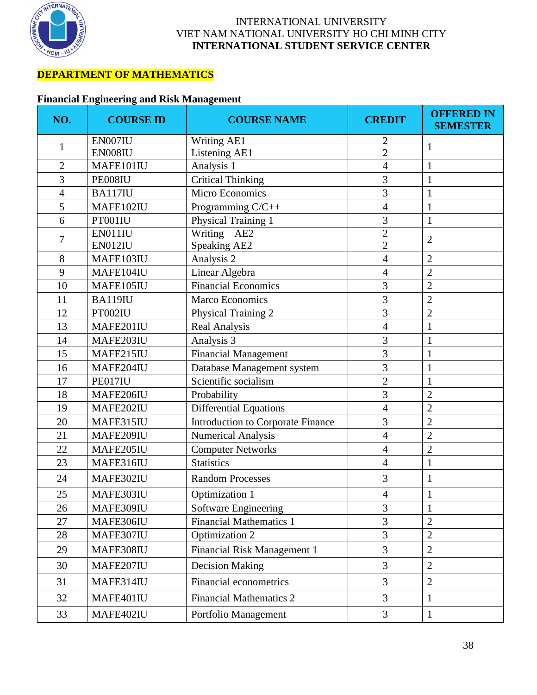

# **DEPARTMENT OF MATHEMATICS**

## **Financial Engineering and Risk Management**

| NO.            | <b>COURSE ID</b> | <b>COURSE NAME</b>                  | <b>CREDIT</b>  | <b>OFFERED IN</b><br><b>SEMESTER</b> |
|----------------|------------------|-------------------------------------|----------------|--------------------------------------|
| $\mathbf{1}$   | EN007IU          | <b>Writing AE1</b>                  | $\overline{2}$ | 1                                    |
|                | EN008IU          | Listening AE1                       | $\overline{2}$ | 1                                    |
| $\overline{2}$ | MAFE101IU        | Analysis 1                          | $\overline{4}$ |                                      |
| 3              | PE008IU          | <b>Critical Thinking</b>            | 3              |                                      |
| $\overline{4}$ | BA117IU          | 3<br><b>Micro Economics</b>         |                | $\mathbf{1}$                         |
| 5              | MAFE102IU        | $\overline{4}$<br>Programming C/C++ |                | $\mathbf{1}$                         |
| 6              | PT001IU          | Physical Training 1                 | 3              | $\mathbf{1}$                         |
| 7              | EN011IU          | Writing AE2                         | $\overline{2}$ | $\overline{2}$                       |
|                | EN012IU          | Speaking AE2                        | $\overline{2}$ |                                      |
| 8              | MAFE103IU        | Analysis 2                          | $\overline{4}$ | $\overline{c}$                       |
| 9              | MAFE104IU        | Linear Algebra                      | $\overline{4}$ | $\overline{2}$                       |
| 10             | MAFE105IU        | <b>Financial Economics</b>          | 3              | $\overline{c}$                       |
| 11             | <b>BA119IU</b>   | 3<br><b>Marco Economics</b>         |                | $\overline{2}$                       |
| 12             | PT002IU          | Physical Training 2                 | 3              | $\overline{2}$                       |
| 13             | MAFE201IU        | <b>Real Analysis</b>                | $\overline{4}$ | $\mathbf{1}$                         |
| 14             | MAFE203IU        | Analysis 3                          | 3              |                                      |
| 15             | MAFE215IU        | <b>Financial Management</b>         | 3              | $\mathbf{1}$                         |
| 16             | MAFE204IU        | Database Management system          | 3              | $\mathbf{1}$                         |
| 17             | PE017IU          | Scientific socialism                | $\overline{2}$ | 1                                    |
| 18             | MAFE206IU        | Probability                         | 3              | $\overline{2}$                       |
| 19             | MAFE202IU        | <b>Differential Equations</b>       | $\overline{4}$ | $\overline{2}$                       |
| 20             | MAFE315IU        | Introduction to Corporate Finance   | 3              | $\overline{2}$                       |
| 21             | MAFE209IU        | <b>Numerical Analysis</b>           | $\overline{4}$ | $\overline{2}$                       |
| 22             | MAFE205IU        | <b>Computer Networks</b>            | $\overline{4}$ | $\overline{2}$                       |
| 23             | MAFE316IU        | <b>Statistics</b>                   | $\overline{4}$ | $\mathbf{1}$                         |
| 24             | MAFE302IU        | <b>Random Processes</b>             | 3              | 1                                    |
| 25             | MAFE303IU        | Optimization 1<br>$\overline{4}$    |                | $\mathbf{1}$                         |
| 26             | MAFE309IU        | Software Engineering                | 3              | $\mathbf{1}$                         |
| 27             | MAFE306IU        | <b>Financial Mathematics 1</b>      | 3              | $\overline{2}$                       |
| 28             | MAFE307IU        | Optimization 2                      | 3              | $\overline{2}$                       |
| 29             | MAFE308IU        | Financial Risk Management 1         | 3              | $\overline{2}$                       |
| 30             | MAFE207IU        | <b>Decision Making</b>              | 3              | $\overline{2}$                       |
| 31             | MAFE314IU        | <b>Financial econometrics</b>       | 3              | $\overline{2}$                       |
| 32             | MAFE401IU        | <b>Financial Mathematics 2</b>      | 3              | $\mathbf 1$                          |
| 33             | MAFE402IU        | Portfolio Management                | 3              | $\mathbf{1}$                         |